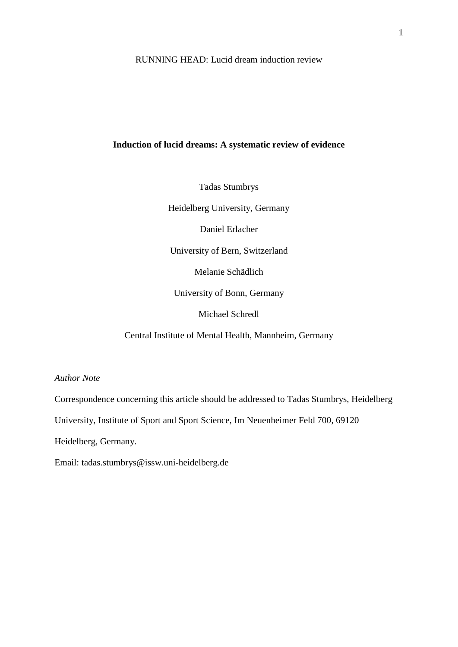RUNNING HEAD: Lucid dream induction review

## **Induction of lucid dreams: A systematic review of evidence**

Tadas Stumbrys

Heidelberg University, Germany

Daniel Erlacher

University of Bern, Switzerland

Melanie Schädlich

University of Bonn, Germany

Michael Schredl

Central Institute of Mental Health, Mannheim, Germany

*Author Note*

Correspondence concerning this article should be addressed to Tadas Stumbrys, Heidelberg

University, Institute of Sport and Sport Science, Im Neuenheimer Feld 700, 69120

Heidelberg, Germany.

Email: tadas.stumbrys@issw.uni-heidelberg.de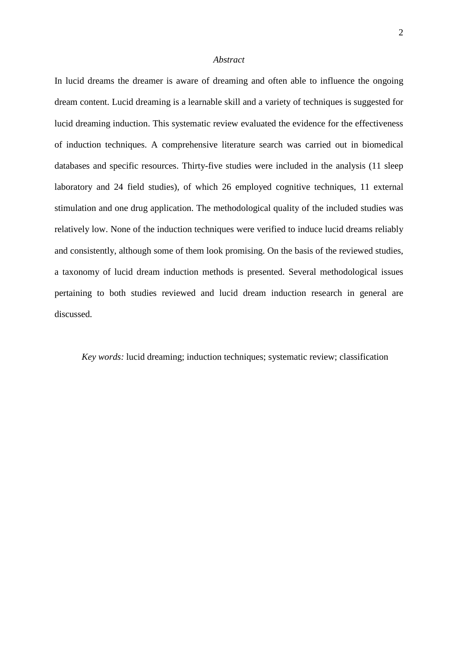## *Abstract*

In lucid dreams the dreamer is aware of dreaming and often able to influence the ongoing dream content. Lucid dreaming is a learnable skill and a variety of techniques is suggested for lucid dreaming induction. This systematic review evaluated the evidence for the effectiveness of induction techniques. A comprehensive literature search was carried out in biomedical databases and specific resources. Thirty-five studies were included in the analysis (11 sleep laboratory and 24 field studies), of which 26 employed cognitive techniques, 11 external stimulation and one drug application. The methodological quality of the included studies was relatively low. None of the induction techniques were verified to induce lucid dreams reliably and consistently, although some of them look promising. On the basis of the reviewed studies, a taxonomy of lucid dream induction methods is presented. Several methodological issues pertaining to both studies reviewed and lucid dream induction research in general are discussed.

*Key words:* lucid dreaming; induction techniques; systematic review; classification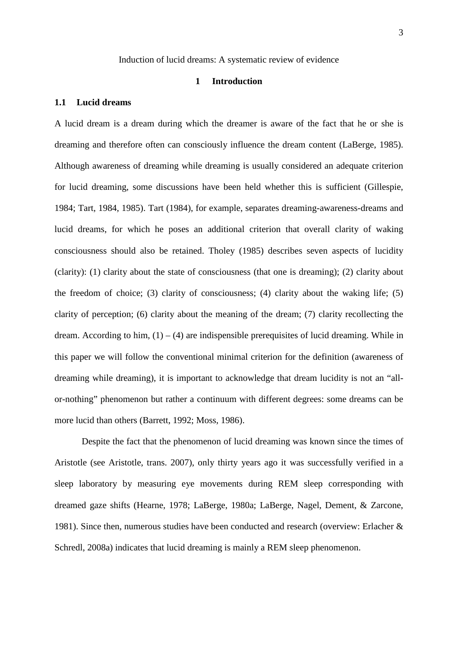## Induction of lucid dreams: A systematic review of evidence

## **1 Introduction**

#### **1.1 Lucid dreams**

A lucid dream is a dream during which the dreamer is aware of the fact that he or she is dreaming and therefore often can consciously influence the dream content (LaBerge, 1985). Although awareness of dreaming while dreaming is usually considered an adequate criterion for lucid dreaming, some discussions have been held whether this is sufficient (Gillespie, 1984; Tart, 1984, 1985). Tart (1984), for example, separates dreaming-awareness-dreams and lucid dreams, for which he poses an additional criterion that overall clarity of waking consciousness should also be retained. Tholey (1985) describes seven aspects of lucidity (clarity): (1) clarity about the state of consciousness (that one is dreaming); (2) clarity about the freedom of choice; (3) clarity of consciousness; (4) clarity about the waking life; (5) clarity of perception; (6) clarity about the meaning of the dream; (7) clarity recollecting the dream. According to him,  $(1) - (4)$  are indispensible prerequisites of lucid dreaming. While in this paper we will follow the conventional minimal criterion for the definition (awareness of dreaming while dreaming), it is important to acknowledge that dream lucidity is not an "allor-nothing" phenomenon but rather a continuum with different degrees: some dreams can be more lucid than others (Barrett, 1992; Moss, 1986).

Despite the fact that the phenomenon of lucid dreaming was known since the times of Aristotle (see Aristotle, trans. 2007), only thirty years ago it was successfully verified in a sleep laboratory by measuring eye movements during REM sleep corresponding with dreamed gaze shifts (Hearne, 1978; LaBerge, 1980a; LaBerge, Nagel, Dement, & Zarcone, 1981). Since then, numerous studies have been conducted and research (overview: Erlacher & Schredl, 2008a) indicates that lucid dreaming is mainly a REM sleep phenomenon.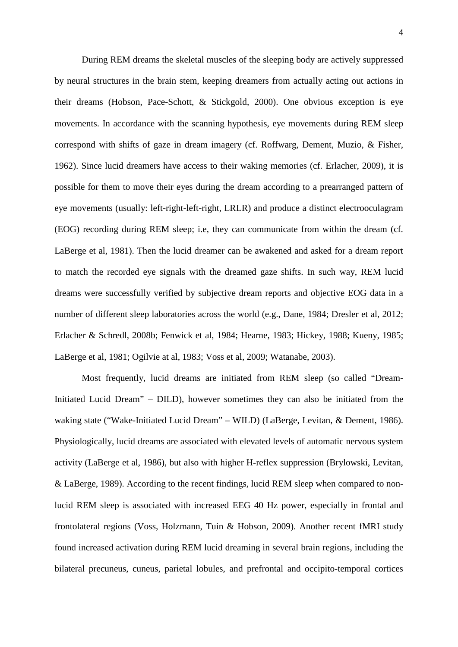During REM dreams the skeletal muscles of the sleeping body are actively suppressed by neural structures in the brain stem, keeping dreamers from actually acting out actions in their dreams (Hobson, Pace-Schott, & Stickgold, 2000). One obvious exception is eye movements. In accordance with the scanning hypothesis, eye movements during REM sleep correspond with shifts of gaze in dream imagery (cf. Roffwarg, Dement, Muzio, & Fisher, 1962). Since lucid dreamers have access to their waking memories (cf. Erlacher, 2009), it is possible for them to move their eyes during the dream according to a prearranged pattern of eye movements (usually: left-right-left-right, LRLR) and produce a distinct electrooculagram (EOG) recording during REM sleep; i.e, they can communicate from within the dream (cf. LaBerge et al, 1981). Then the lucid dreamer can be awakened and asked for a dream report to match the recorded eye signals with the dreamed gaze shifts. In such way, REM lucid dreams were successfully verified by subjective dream reports and objective EOG data in a number of different sleep laboratories across the world (e.g., Dane, 1984; Dresler et al, 2012; Erlacher & Schredl, 2008b; Fenwick et al, 1984; Hearne, 1983; Hickey, 1988; Kueny, 1985; LaBerge et al, 1981; Ogilvie at al, 1983; Voss et al, 2009; Watanabe, 2003).

Most frequently, lucid dreams are initiated from REM sleep (so called "Dream-Initiated Lucid Dream" – DILD), however sometimes they can also be initiated from the waking state ("Wake-Initiated Lucid Dream" – WILD) (LaBerge, Levitan, & Dement, 1986). Physiologically, lucid dreams are associated with elevated levels of automatic nervous system activity (LaBerge et al, 1986), but also with higher H-reflex suppression (Brylowski, Levitan, & LaBerge, 1989). According to the recent findings, lucid REM sleep when compared to nonlucid REM sleep is associated with increased EEG 40 Hz power, especially in frontal and frontolateral regions (Voss, Holzmann, Tuin & Hobson, 2009). Another recent fMRI study found increased activation during REM lucid dreaming in several brain regions, including the bilateral precuneus, cuneus, parietal lobules, and prefrontal and occipito-temporal cortices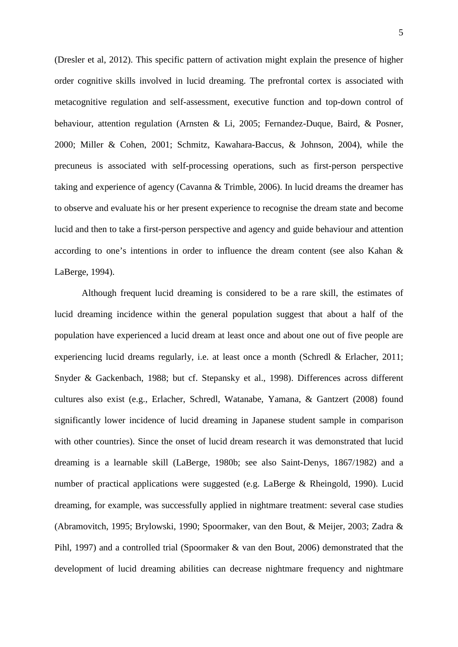(Dresler et al, 2012). This specific pattern of activation might explain the presence of higher order cognitive skills involved in lucid dreaming. The prefrontal cortex is associated with metacognitive regulation and self-assessment, executive function and top-down control of behaviour, attention regulation (Arnsten & Li, 2005; Fernandez-Duque, Baird, & Posner, 2000; Miller & Cohen, 2001; Schmitz, Kawahara-Baccus, & Johnson, 2004), while the precuneus is associated with self-processing operations, such as first-person perspective taking and experience of agency (Cavanna & Trimble, 2006). In lucid dreams the dreamer has to observe and evaluate his or her present experience to recognise the dream state and become lucid and then to take a first-person perspective and agency and guide behaviour and attention according to one's intentions in order to influence the dream content (see also Kahan & LaBerge, 1994).

Although frequent lucid dreaming is considered to be a rare skill, the estimates of lucid dreaming incidence within the general population suggest that about a half of the population have experienced a lucid dream at least once and about one out of five people are experiencing lucid dreams regularly, i.e. at least once a month (Schredl & Erlacher, 2011; Snyder & Gackenbach, 1988; but cf. Stepansky et al., 1998). Differences across different cultures also exist (e.g., Erlacher, Schredl, Watanabe, Yamana, & Gantzert (2008) found significantly lower incidence of lucid dreaming in Japanese student sample in comparison with other countries). Since the onset of lucid dream research it was demonstrated that lucid dreaming is a learnable skill (LaBerge, 1980b; see also Saint-Denys, 1867/1982) and a number of practical applications were suggested (e.g. LaBerge & Rheingold, 1990). Lucid dreaming, for example, was successfully applied in nightmare treatment: several case studies (Abramovitch, 1995; Brylowski, 1990; Spoormaker, van den Bout, & Meijer, 2003; Zadra & Pihl, 1997) and a controlled trial (Spoormaker & van den Bout, 2006) demonstrated that the development of lucid dreaming abilities can decrease nightmare frequency and nightmare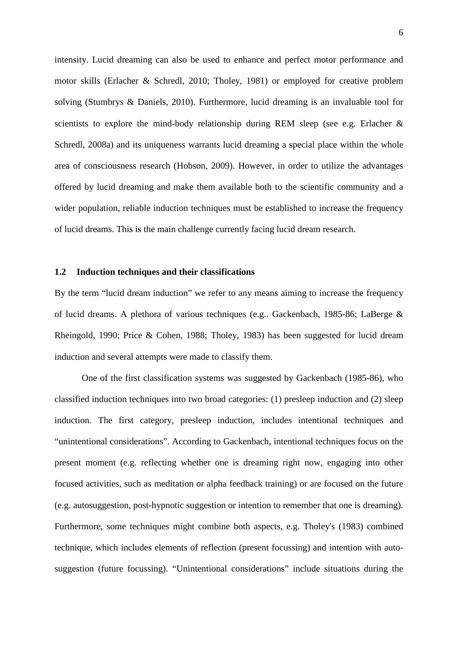intensity. Lucid dreaming can also be used to enhance and perfect motor performance and motor skills (Erlacher & Schredl, 2010; Tholey, 1981) or employed for creative problem solving (Stumbrys & Daniels, 2010). Furthermore, lucid dreaming is an invaluable tool for scientists to explore the mind-body relationship during REM sleep (see e.g. Erlacher & Schredl, 2008a) and its uniqueness warrants lucid dreaming a special place within the whole area of consciousness research (Hobson, 2009). However, in order to utilize the advantages offered by lucid dreaming and make them available both to the scientific community and a wider population, reliable induction techniques must be established to increase the frequency of lucid dreams. This is the main challenge currently facing lucid dream research.

#### **1.2 Induction techniques and their classifications**

By the term "lucid dream induction" we refer to any means aiming to increase the frequency of lucid dreams. A plethora of various techniques (e.g.. Gackenbach, 1985-86; LaBerge & Rheingold, 1990; Price & Cohen, 1988; Tholey, 1983) has been suggested for lucid dream induction and several attempts were made to classify them.

One of the first classification systems was suggested by Gackenbach (1985-86), who classified induction techniques into two broad categories: (1) presleep induction and (2) sleep induction. The first category, presleep induction, includes intentional techniques and "unintentional considerations". According to Gackenbach, intentional techniques focus on the present moment (e.g. reflecting whether one is dreaming right now, engaging into other focused activities, such as meditation or alpha feedback training) or are focused on the future (e.g. autosuggestion, post-hypnotic suggestion or intention to remember that one is dreaming). Furthermore, some techniques might combine both aspects, e.g. Tholey's (1983) combined technique, which includes elements of reflection (present focussing) and intention with autosuggestion (future focussing). "Unintentional considerations" include situations during the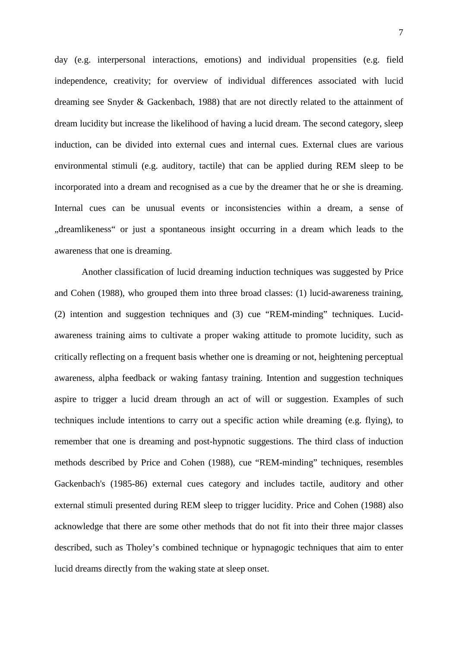day (e.g. interpersonal interactions, emotions) and individual propensities (e.g. field independence, creativity; for overview of individual differences associated with lucid dreaming see Snyder & Gackenbach, 1988) that are not directly related to the attainment of dream lucidity but increase the likelihood of having a lucid dream. The second category, sleep induction, can be divided into external cues and internal cues. External clues are various environmental stimuli (e.g. auditory, tactile) that can be applied during REM sleep to be incorporated into a dream and recognised as a cue by the dreamer that he or she is dreaming. Internal cues can be unusual events or inconsistencies within a dream, a sense of "dreamlikeness" or just a spontaneous insight occurring in a dream which leads to the awareness that one is dreaming.

Another classification of lucid dreaming induction techniques was suggested by Price and Cohen (1988), who grouped them into three broad classes: (1) lucid-awareness training, (2) intention and suggestion techniques and (3) cue "REM-minding" techniques. Lucidawareness training aims to cultivate a proper waking attitude to promote lucidity, such as critically reflecting on a frequent basis whether one is dreaming or not, heightening perceptual awareness, alpha feedback or waking fantasy training. Intention and suggestion techniques aspire to trigger a lucid dream through an act of will or suggestion. Examples of such techniques include intentions to carry out a specific action while dreaming (e.g. flying), to remember that one is dreaming and post-hypnotic suggestions. The third class of induction methods described by Price and Cohen (1988), cue "REM-minding" techniques, resembles Gackenbach's (1985-86) external cues category and includes tactile, auditory and other external stimuli presented during REM sleep to trigger lucidity. Price and Cohen (1988) also acknowledge that there are some other methods that do not fit into their three major classes described, such as Tholey's combined technique or hypnagogic techniques that aim to enter lucid dreams directly from the waking state at sleep onset.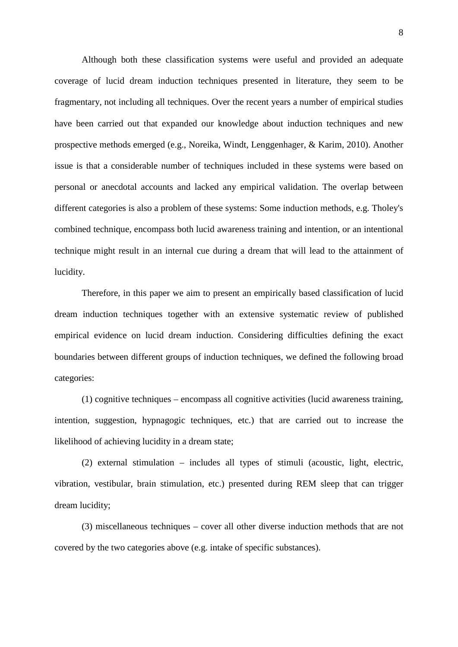Although both these classification systems were useful and provided an adequate coverage of lucid dream induction techniques presented in literature, they seem to be fragmentary, not including all techniques. Over the recent years a number of empirical studies have been carried out that expanded our knowledge about induction techniques and new prospective methods emerged (e.g., Noreika, Windt, Lenggenhager, & Karim, 2010). Another issue is that a considerable number of techniques included in these systems were based on personal or anecdotal accounts and lacked any empirical validation. The overlap between different categories is also a problem of these systems: Some induction methods, e.g. Tholey's combined technique, encompass both lucid awareness training and intention, or an intentional technique might result in an internal cue during a dream that will lead to the attainment of lucidity.

Therefore, in this paper we aim to present an empirically based classification of lucid dream induction techniques together with an extensive systematic review of published empirical evidence on lucid dream induction. Considering difficulties defining the exact boundaries between different groups of induction techniques, we defined the following broad categories:

(1) cognitive techniques – encompass all cognitive activities (lucid awareness training, intention, suggestion, hypnagogic techniques, etc.) that are carried out to increase the likelihood of achieving lucidity in a dream state;

(2) external stimulation – includes all types of stimuli (acoustic, light, electric, vibration, vestibular, brain stimulation, etc.) presented during REM sleep that can trigger dream lucidity;

(3) miscellaneous techniques – cover all other diverse induction methods that are not covered by the two categories above (e.g. intake of specific substances).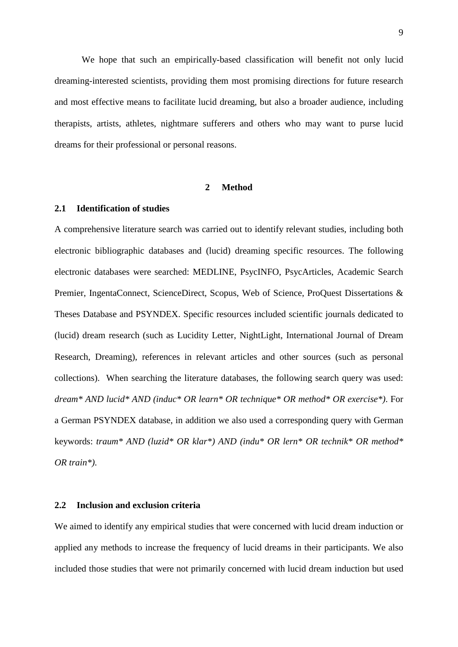We hope that such an empirically-based classification will benefit not only lucid dreaming-interested scientists, providing them most promising directions for future research and most effective means to facilitate lucid dreaming, but also a broader audience, including therapists, artists, athletes, nightmare sufferers and others who may want to purse lucid dreams for their professional or personal reasons.

## **2 Method**

## **2.1 Identification of studies**

A comprehensive literature search was carried out to identify relevant studies, including both electronic bibliographic databases and (lucid) dreaming specific resources. The following electronic databases were searched: MEDLINE, PsycINFO, PsycArticles, Academic Search Premier, IngentaConnect, ScienceDirect, Scopus, Web of Science, ProQuest Dissertations & Theses Database and PSYNDEX. Specific resources included scientific journals dedicated to (lucid) dream research (such as Lucidity Letter, NightLight, International Journal of Dream Research, Dreaming), references in relevant articles and other sources (such as personal collections). When searching the literature databases, the following search query was used: *dream\* AND lucid\* AND (induc\* OR learn\* OR technique\* OR method\* OR exercise\*)*. For a German PSYNDEX database, in addition we also used a corresponding query with German keywords: *traum\* AND (luzid\* OR klar\*) AND (indu\* OR lern\* OR technik\* OR method\* OR train\*)*.

## **2.2 Inclusion and exclusion criteria**

We aimed to identify any empirical studies that were concerned with lucid dream induction or applied any methods to increase the frequency of lucid dreams in their participants. We also included those studies that were not primarily concerned with lucid dream induction but used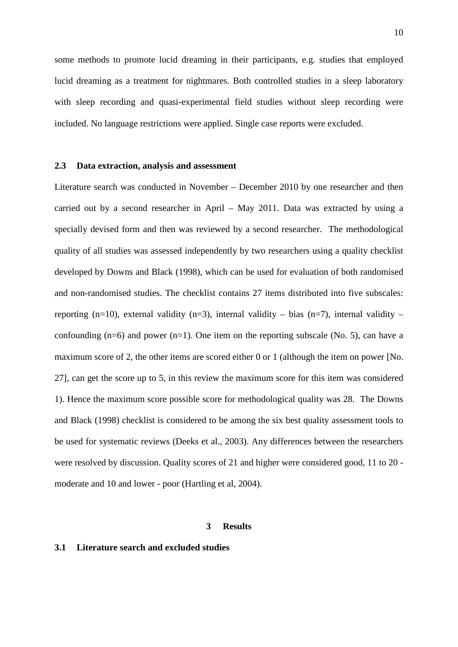some methods to promote lucid dreaming in their participants, e.g. studies that employed lucid dreaming as a treatment for nightmares. Both controlled studies in a sleep laboratory with sleep recording and quasi-experimental field studies without sleep recording were included. No language restrictions were applied. Single case reports were excluded.

#### **2.3 Data extraction, analysis and assessment**

Literature search was conducted in November – December 2010 by one researcher and then carried out by a second researcher in April – May 2011. Data was extracted by using a specially devised form and then was reviewed by a second researcher. The methodological quality of all studies was assessed independently by two researchers using a quality checklist developed by Downs and Black (1998), which can be used for evaluation of both randomised and non-randomised studies. The checklist contains 27 items distributed into five subscales: reporting (n=10), external validity (n=3), internal validity – bias (n=7), internal validity – confounding  $(n=6)$  and power  $(n=1)$ . One item on the reporting subscale (No. 5), can have a maximum score of 2, the other items are scored either 0 or 1 (although the item on power [No. 27], can get the score up to 5, in this review the maximum score for this item was considered 1). Hence the maximum score possible score for methodological quality was 28. The Downs and Black (1998) checklist is considered to be among the six best quality assessment tools to be used for systematic reviews (Deeks et al., 2003). Any differences between the researchers were resolved by discussion. Quality scores of 21 and higher were considered good, 11 to 20 moderate and 10 and lower - poor (Hartling et al, 2004).

## **3 Results**

## **3.1 Literature search and excluded studies**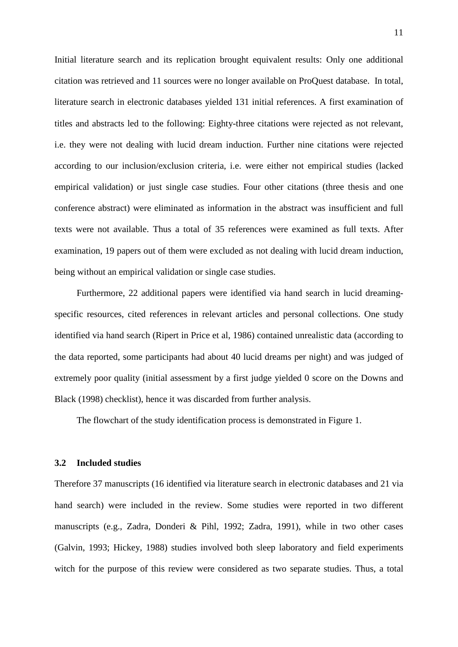Initial literature search and its replication brought equivalent results: Only one additional citation was retrieved and 11 sources were no longer available on ProQuest database. In total, literature search in electronic databases yielded 131 initial references. A first examination of titles and abstracts led to the following: Eighty-three citations were rejected as not relevant, i.e. they were not dealing with lucid dream induction. Further nine citations were rejected according to our inclusion/exclusion criteria, i.e. were either not empirical studies (lacked empirical validation) or just single case studies. Four other citations (three thesis and one conference abstract) were eliminated as information in the abstract was insufficient and full texts were not available. Thus a total of 35 references were examined as full texts. After examination, 19 papers out of them were excluded as not dealing with lucid dream induction, being without an empirical validation or single case studies.

Furthermore, 22 additional papers were identified via hand search in lucid dreamingspecific resources, cited references in relevant articles and personal collections. One study identified via hand search (Ripert in Price et al, 1986) contained unrealistic data (according to the data reported, some participants had about 40 lucid dreams per night) and was judged of extremely poor quality (initial assessment by a first judge yielded 0 score on the Downs and Black (1998) checklist), hence it was discarded from further analysis.

The flowchart of the study identification process is demonstrated in Figure 1.

#### **3.2 Included studies**

Therefore 37 manuscripts (16 identified via literature search in electronic databases and 21 via hand search) were included in the review. Some studies were reported in two different manuscripts (e.g., Zadra, Donderi & Pihl, 1992; Zadra, 1991), while in two other cases (Galvin, 1993; Hickey, 1988) studies involved both sleep laboratory and field experiments witch for the purpose of this review were considered as two separate studies. Thus, a total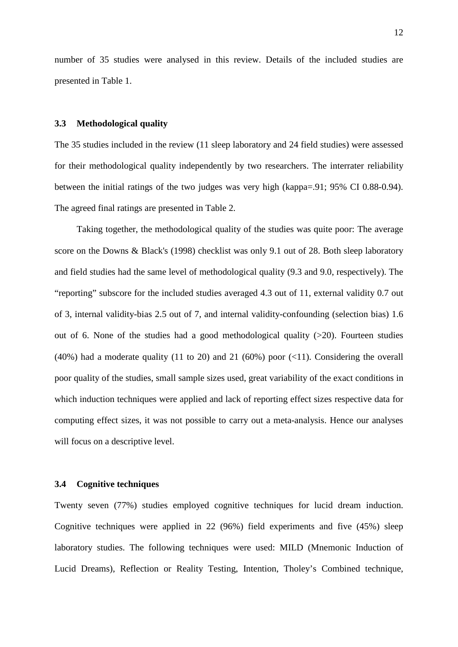number of 35 studies were analysed in this review. Details of the included studies are presented in Table 1.

## **3.3 Methodological quality**

The 35 studies included in the review (11 sleep laboratory and 24 field studies) were assessed for their methodological quality independently by two researchers. The interrater reliability between the initial ratings of the two judges was very high (kappa=.91; 95% CI 0.88-0.94). The agreed final ratings are presented in Table 2.

Taking together, the methodological quality of the studies was quite poor: The average score on the Downs & Black's (1998) checklist was only 9.1 out of 28. Both sleep laboratory and field studies had the same level of methodological quality (9.3 and 9.0, respectively). The "reporting" subscore for the included studies averaged 4.3 out of 11, external validity 0.7 out of 3, internal validity-bias 2.5 out of 7, and internal validity-confounding (selection bias) 1.6 out of 6. None of the studies had a good methodological quality  $(>20)$ . Fourteen studies (40%) had a moderate quality (11 to 20) and 21 (60%) poor  $(\langle 11 \rangle)$ . Considering the overall poor quality of the studies, small sample sizes used, great variability of the exact conditions in which induction techniques were applied and lack of reporting effect sizes respective data for computing effect sizes, it was not possible to carry out a meta-analysis. Hence our analyses will focus on a descriptive level.

## **3.4 Cognitive techniques**

Twenty seven (77%) studies employed cognitive techniques for lucid dream induction. Cognitive techniques were applied in 22 (96%) field experiments and five (45%) sleep laboratory studies. The following techniques were used: MILD (Mnemonic Induction of Lucid Dreams), Reflection or Reality Testing, Intention, Tholey's Combined technique,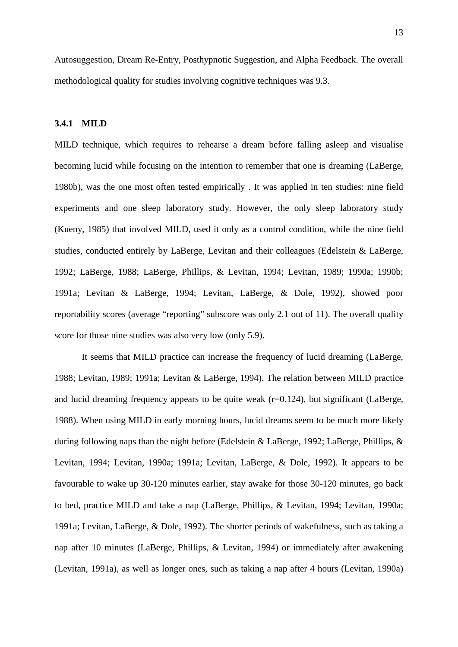Autosuggestion, Dream Re-Entry, Posthypnotic Suggestion, and Alpha Feedback. The overall methodological quality for studies involving cognitive techniques was 9.3.

## **3.4.1 MILD**

MILD technique, which requires to rehearse a dream before falling asleep and visualise becoming lucid while focusing on the intention to remember that one is dreaming (LaBerge, 1980b), was the one most often tested empirically . It was applied in ten studies: nine field experiments and one sleep laboratory study. However, the only sleep laboratory study (Kueny, 1985) that involved MILD, used it only as a control condition, while the nine field studies, conducted entirely by LaBerge, Levitan and their colleagues (Edelstein & LaBerge, 1992; LaBerge, 1988; LaBerge, Phillips, & Levitan, 1994; Levitan, 1989; 1990a; 1990b; 1991a; Levitan & LaBerge, 1994; Levitan, LaBerge, & Dole, 1992), showed poor reportability scores (average "reporting" subscore was only 2.1 out of 11). The overall quality score for those nine studies was also very low (only 5.9).

It seems that MILD practice can increase the frequency of lucid dreaming (LaBerge, 1988; Levitan, 1989; 1991a; Levitan & LaBerge, 1994). The relation between MILD practice and lucid dreaming frequency appears to be quite weak  $(r=0.124)$ , but significant (LaBerge, 1988). When using MILD in early morning hours, lucid dreams seem to be much more likely during following naps than the night before (Edelstein & LaBerge, 1992; LaBerge, Phillips, & Levitan, 1994; Levitan, 1990a; 1991a; Levitan, LaBerge, & Dole, 1992). It appears to be favourable to wake up 30-120 minutes earlier, stay awake for those 30-120 minutes, go back to bed, practice MILD and take a nap (LaBerge, Phillips, & Levitan, 1994; Levitan, 1990a; 1991a; Levitan, LaBerge, & Dole, 1992). The shorter periods of wakefulness, such as taking a nap after 10 minutes (LaBerge, Phillips, & Levitan, 1994) or immediately after awakening (Levitan, 1991a), as well as longer ones, such as taking a nap after 4 hours (Levitan, 1990a)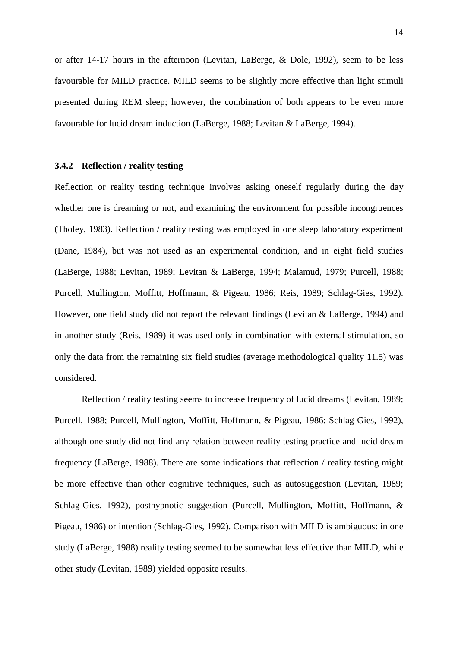or after 14-17 hours in the afternoon (Levitan, LaBerge, & Dole, 1992), seem to be less favourable for MILD practice. MILD seems to be slightly more effective than light stimuli presented during REM sleep; however, the combination of both appears to be even more favourable for lucid dream induction (LaBerge, 1988; Levitan & LaBerge, 1994).

#### **3.4.2 Reflection / reality testing**

Reflection or reality testing technique involves asking oneself regularly during the day whether one is dreaming or not, and examining the environment for possible incongruences (Tholey, 1983). Reflection / reality testing was employed in one sleep laboratory experiment (Dane, 1984), but was not used as an experimental condition, and in eight field studies (LaBerge, 1988; Levitan, 1989; Levitan & LaBerge, 1994; Malamud, 1979; Purcell, 1988; Purcell, Mullington, Moffitt, Hoffmann, & Pigeau, 1986; Reis, 1989; Schlag-Gies, 1992). However, one field study did not report the relevant findings (Levitan & LaBerge, 1994) and in another study (Reis, 1989) it was used only in combination with external stimulation, so only the data from the remaining six field studies (average methodological quality 11.5) was considered.

Reflection / reality testing seems to increase frequency of lucid dreams (Levitan, 1989; Purcell, 1988; Purcell, Mullington, Moffitt, Hoffmann, & Pigeau, 1986; Schlag-Gies, 1992), although one study did not find any relation between reality testing practice and lucid dream frequency (LaBerge, 1988). There are some indications that reflection / reality testing might be more effective than other cognitive techniques, such as autosuggestion (Levitan, 1989; Schlag-Gies, 1992), posthypnotic suggestion (Purcell, Mullington, Moffitt, Hoffmann, & Pigeau, 1986) or intention (Schlag-Gies, 1992). Comparison with MILD is ambiguous: in one study (LaBerge, 1988) reality testing seemed to be somewhat less effective than MILD, while other study (Levitan, 1989) yielded opposite results.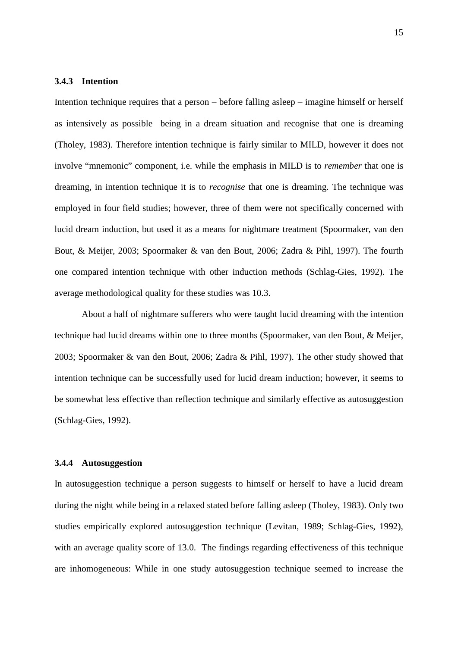## **3.4.3 Intention**

Intention technique requires that a person – before falling asleep – imagine himself or herself as intensively as possible being in a dream situation and recognise that one is dreaming (Tholey, 1983). Therefore intention technique is fairly similar to MILD, however it does not involve "mnemonic" component, i.e. while the emphasis in MILD is to *remember* that one is dreaming, in intention technique it is to *recognise* that one is dreaming. The technique was employed in four field studies; however, three of them were not specifically concerned with lucid dream induction, but used it as a means for nightmare treatment (Spoormaker, van den Bout, & Meijer, 2003; Spoormaker & van den Bout, 2006; Zadra & Pihl, 1997). The fourth one compared intention technique with other induction methods (Schlag-Gies, 1992). The average methodological quality for these studies was 10.3.

About a half of nightmare sufferers who were taught lucid dreaming with the intention technique had lucid dreams within one to three months (Spoormaker, van den Bout, & Meijer, 2003; Spoormaker & van den Bout, 2006; Zadra & Pihl, 1997). The other study showed that intention technique can be successfully used for lucid dream induction; however, it seems to be somewhat less effective than reflection technique and similarly effective as autosuggestion (Schlag-Gies, 1992).

## **3.4.4 Autosuggestion**

In autosuggestion technique a person suggests to himself or herself to have a lucid dream during the night while being in a relaxed stated before falling asleep (Tholey, 1983). Only two studies empirically explored autosuggestion technique (Levitan, 1989; Schlag-Gies, 1992), with an average quality score of 13.0. The findings regarding effectiveness of this technique are inhomogeneous: While in one study autosuggestion technique seemed to increase the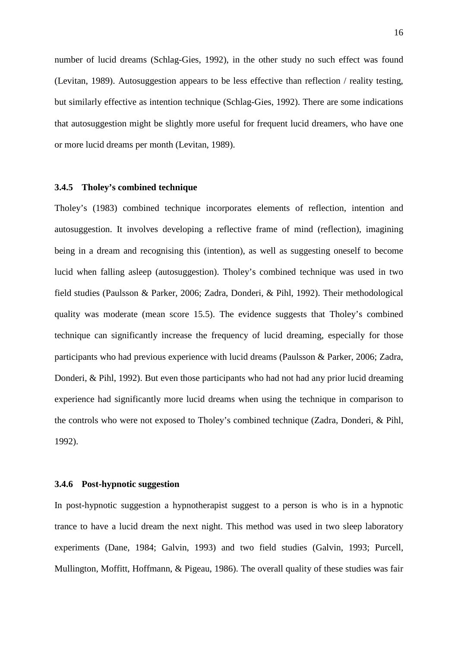number of lucid dreams (Schlag-Gies, 1992), in the other study no such effect was found (Levitan, 1989). Autosuggestion appears to be less effective than reflection / reality testing, but similarly effective as intention technique (Schlag-Gies, 1992). There are some indications that autosuggestion might be slightly more useful for frequent lucid dreamers, who have one or more lucid dreams per month (Levitan, 1989).

## **3.4.5 Tholey's combined technique**

Tholey's (1983) combined technique incorporates elements of reflection, intention and autosuggestion. It involves developing a reflective frame of mind (reflection), imagining being in a dream and recognising this (intention), as well as suggesting oneself to become lucid when falling asleep (autosuggestion). Tholey's combined technique was used in two field studies (Paulsson & Parker, 2006; Zadra, Donderi, & Pihl, 1992). Their methodological quality was moderate (mean score 15.5). The evidence suggests that Tholey's combined technique can significantly increase the frequency of lucid dreaming, especially for those participants who had previous experience with lucid dreams (Paulsson & Parker, 2006; Zadra, Donderi, & Pihl, 1992). But even those participants who had not had any prior lucid dreaming experience had significantly more lucid dreams when using the technique in comparison to the controls who were not exposed to Tholey's combined technique (Zadra, Donderi, & Pihl, 1992).

## **3.4.6 Post-hypnotic suggestion**

In post-hypnotic suggestion a hypnotherapist suggest to a person is who is in a hypnotic trance to have a lucid dream the next night. This method was used in two sleep laboratory experiments (Dane, 1984; Galvin, 1993) and two field studies (Galvin, 1993; Purcell, Mullington, Moffitt, Hoffmann, & Pigeau, 1986). The overall quality of these studies was fair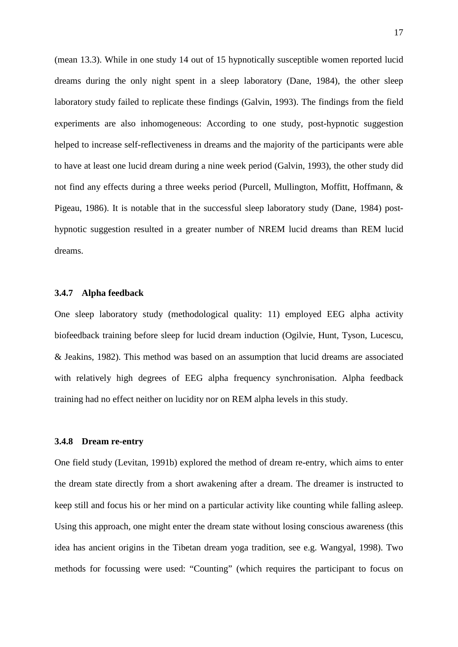(mean 13.3). While in one study 14 out of 15 hypnotically susceptible women reported lucid dreams during the only night spent in a sleep laboratory (Dane, 1984), the other sleep laboratory study failed to replicate these findings (Galvin, 1993). The findings from the field experiments are also inhomogeneous: According to one study, post-hypnotic suggestion helped to increase self-reflectiveness in dreams and the majority of the participants were able to have at least one lucid dream during a nine week period (Galvin, 1993), the other study did not find any effects during a three weeks period (Purcell, Mullington, Moffitt, Hoffmann, & Pigeau, 1986). It is notable that in the successful sleep laboratory study (Dane, 1984) posthypnotic suggestion resulted in a greater number of NREM lucid dreams than REM lucid dreams.

## **3.4.7 Alpha feedback**

One sleep laboratory study (methodological quality: 11) employed EEG alpha activity biofeedback training before sleep for lucid dream induction (Ogilvie, Hunt, Tyson, Lucescu, & Jeakins, 1982). This method was based on an assumption that lucid dreams are associated with relatively high degrees of EEG alpha frequency synchronisation. Alpha feedback training had no effect neither on lucidity nor on REM alpha levels in this study.

## **3.4.8 Dream re-entry**

One field study (Levitan, 1991b) explored the method of dream re-entry, which aims to enter the dream state directly from a short awakening after a dream. The dreamer is instructed to keep still and focus his or her mind on a particular activity like counting while falling asleep. Using this approach, one might enter the dream state without losing conscious awareness (this idea has ancient origins in the Tibetan dream yoga tradition, see e.g. Wangyal, 1998). Two methods for focussing were used: "Counting" (which requires the participant to focus on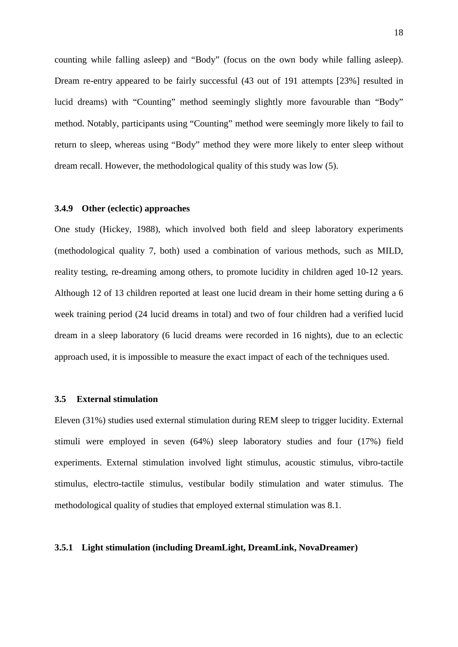counting while falling asleep) and "Body" (focus on the own body while falling asleep). Dream re-entry appeared to be fairly successful (43 out of 191 attempts [23%] resulted in lucid dreams) with "Counting" method seemingly slightly more favourable than "Body" method. Notably, participants using "Counting" method were seemingly more likely to fail to return to sleep, whereas using "Body" method they were more likely to enter sleep without dream recall. However, the methodological quality of this study was low (5).

## **3.4.9 Other (eclectic) approaches**

One study (Hickey, 1988), which involved both field and sleep laboratory experiments (methodological quality 7, both) used a combination of various methods, such as MILD, reality testing, re-dreaming among others, to promote lucidity in children aged 10-12 years. Although 12 of 13 children reported at least one lucid dream in their home setting during a 6 week training period (24 lucid dreams in total) and two of four children had a verified lucid dream in a sleep laboratory (6 lucid dreams were recorded in 16 nights), due to an eclectic approach used, it is impossible to measure the exact impact of each of the techniques used.

## **3.5 External stimulation**

Eleven (31%) studies used external stimulation during REM sleep to trigger lucidity. External stimuli were employed in seven (64%) sleep laboratory studies and four (17%) field experiments. External stimulation involved light stimulus, acoustic stimulus, vibro-tactile stimulus, electro-tactile stimulus, vestibular bodily stimulation and water stimulus. The methodological quality of studies that employed external stimulation was 8.1.

## **3.5.1 Light stimulation (including DreamLight, DreamLink, NovaDreamer)**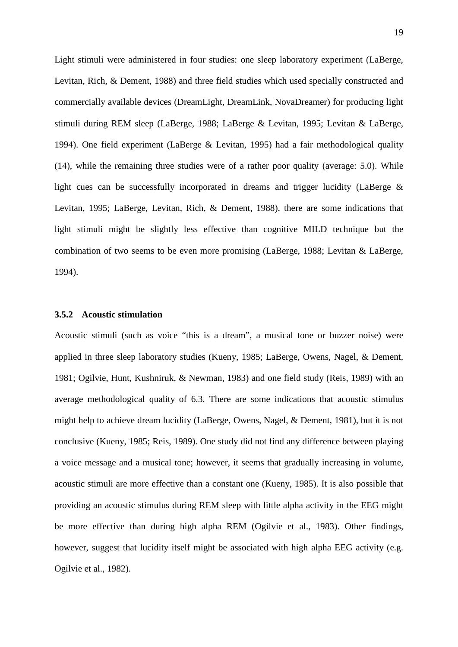Light stimuli were administered in four studies: one sleep laboratory experiment (LaBerge, Levitan, Rich, & Dement, 1988) and three field studies which used specially constructed and commercially available devices (DreamLight, DreamLink, NovaDreamer) for producing light stimuli during REM sleep (LaBerge, 1988; LaBerge & Levitan, 1995; Levitan & LaBerge, 1994). One field experiment (LaBerge & Levitan, 1995) had a fair methodological quality (14), while the remaining three studies were of a rather poor quality (average: 5.0). While light cues can be successfully incorporated in dreams and trigger lucidity (LaBerge & Levitan, 1995; LaBerge, Levitan, Rich, & Dement, 1988), there are some indications that light stimuli might be slightly less effective than cognitive MILD technique but the combination of two seems to be even more promising (LaBerge, 1988; Levitan & LaBerge, 1994).

## **3.5.2 Acoustic stimulation**

Acoustic stimuli (such as voice "this is a dream", a musical tone or buzzer noise) were applied in three sleep laboratory studies (Kueny, 1985; LaBerge, Owens, Nagel, & Dement, 1981; Ogilvie, Hunt, Kushniruk, & Newman, 1983) and one field study (Reis, 1989) with an average methodological quality of 6.3. There are some indications that acoustic stimulus might help to achieve dream lucidity (LaBerge, Owens, Nagel, & Dement, 1981), but it is not conclusive (Kueny, 1985; Reis, 1989). One study did not find any difference between playing a voice message and a musical tone; however, it seems that gradually increasing in volume, acoustic stimuli are more effective than a constant one (Kueny, 1985). It is also possible that providing an acoustic stimulus during REM sleep with little alpha activity in the EEG might be more effective than during high alpha REM (Ogilvie et al., 1983). Other findings, however, suggest that lucidity itself might be associated with high alpha EEG activity (e.g. Ogilvie et al., 1982).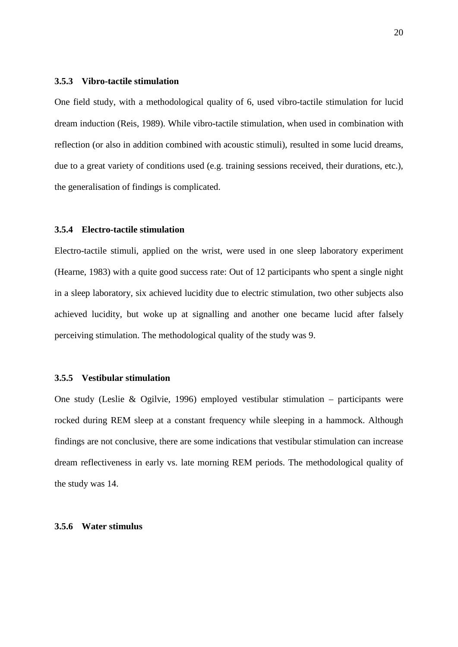## **3.5.3 Vibro-tactile stimulation**

One field study, with a methodological quality of 6, used vibro-tactile stimulation for lucid dream induction (Reis, 1989). While vibro-tactile stimulation, when used in combination with reflection (or also in addition combined with acoustic stimuli), resulted in some lucid dreams, due to a great variety of conditions used (e.g. training sessions received, their durations, etc.), the generalisation of findings is complicated.

## **3.5.4 Electro-tactile stimulation**

Electro-tactile stimuli, applied on the wrist, were used in one sleep laboratory experiment (Hearne, 1983) with a quite good success rate: Out of 12 participants who spent a single night in a sleep laboratory, six achieved lucidity due to electric stimulation, two other subjects also achieved lucidity, but woke up at signalling and another one became lucid after falsely perceiving stimulation. The methodological quality of the study was 9.

## **3.5.5 Vestibular stimulation**

One study (Leslie & Ogilvie, 1996) employed vestibular stimulation – participants were rocked during REM sleep at a constant frequency while sleeping in a hammock. Although findings are not conclusive, there are some indications that vestibular stimulation can increase dream reflectiveness in early vs. late morning REM periods. The methodological quality of the study was 14.

## **3.5.6 Water stimulus**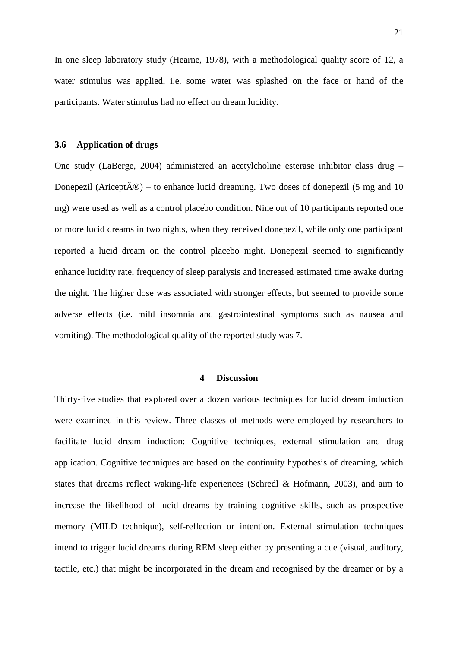In one sleep laboratory study (Hearne, 1978), with a methodological quality score of 12, a water stimulus was applied, i.e. some water was splashed on the face or hand of the participants. Water stimulus had no effect on dream lucidity.

#### **3.6 Application of drugs**

One study (LaBerge, 2004) administered an acetylcholine esterase inhibitor class drug – Donepezil (Aricept $\hat{A}$ <sup>®</sup>) – to enhance lucid dreaming. Two doses of donepezil (5 mg and 10 mg) were used as well as a control placebo condition. Nine out of 10 participants reported one or more lucid dreams in two nights, when they received donepezil, while only one participant reported a lucid dream on the control placebo night. Donepezil seemed to significantly enhance lucidity rate, frequency of sleep paralysis and increased estimated time awake during the night. The higher dose was associated with stronger effects, but seemed to provide some adverse effects (i.e. mild insomnia and gastrointestinal symptoms such as nausea and vomiting). The methodological quality of the reported study was 7.

## **4 Discussion**

Thirty-five studies that explored over a dozen various techniques for lucid dream induction were examined in this review. Three classes of methods were employed by researchers to facilitate lucid dream induction: Cognitive techniques, external stimulation and drug application. Cognitive techniques are based on the continuity hypothesis of dreaming, which states that dreams reflect waking-life experiences (Schredl & Hofmann, 2003), and aim to increase the likelihood of lucid dreams by training cognitive skills, such as prospective memory (MILD technique), self-reflection or intention. External stimulation techniques intend to trigger lucid dreams during REM sleep either by presenting a cue (visual, auditory, tactile, etc.) that might be incorporated in the dream and recognised by the dreamer or by a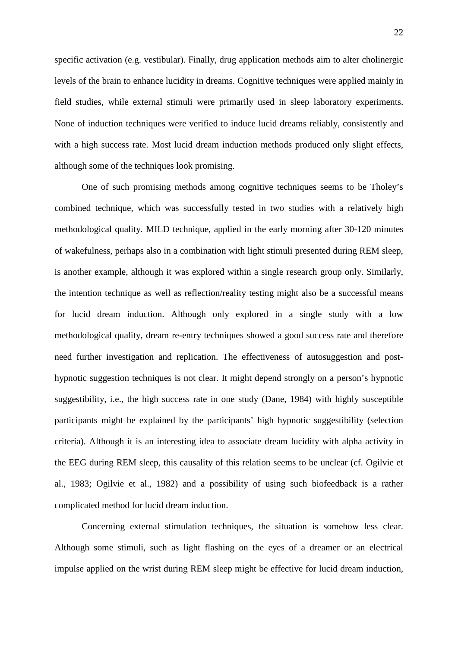specific activation (e.g. vestibular). Finally, drug application methods aim to alter cholinergic levels of the brain to enhance lucidity in dreams. Cognitive techniques were applied mainly in field studies, while external stimuli were primarily used in sleep laboratory experiments. None of induction techniques were verified to induce lucid dreams reliably, consistently and with a high success rate. Most lucid dream induction methods produced only slight effects, although some of the techniques look promising.

One of such promising methods among cognitive techniques seems to be Tholey's combined technique, which was successfully tested in two studies with a relatively high methodological quality. MILD technique, applied in the early morning after 30-120 minutes of wakefulness, perhaps also in a combination with light stimuli presented during REM sleep, is another example, although it was explored within a single research group only. Similarly, the intention technique as well as reflection/reality testing might also be a successful means for lucid dream induction. Although only explored in a single study with a low methodological quality, dream re-entry techniques showed a good success rate and therefore need further investigation and replication. The effectiveness of autosuggestion and posthypnotic suggestion techniques is not clear. It might depend strongly on a person's hypnotic suggestibility, i.e., the high success rate in one study (Dane, 1984) with highly susceptible participants might be explained by the participants' high hypnotic suggestibility (selection criteria). Although it is an interesting idea to associate dream lucidity with alpha activity in the EEG during REM sleep, this causality of this relation seems to be unclear (cf. Ogilvie et al., 1983; Ogilvie et al., 1982) and a possibility of using such biofeedback is a rather complicated method for lucid dream induction.

Concerning external stimulation techniques, the situation is somehow less clear. Although some stimuli, such as light flashing on the eyes of a dreamer or an electrical impulse applied on the wrist during REM sleep might be effective for lucid dream induction,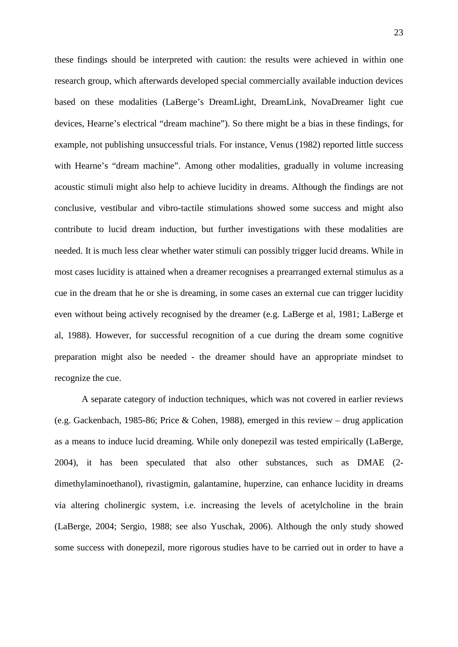these findings should be interpreted with caution: the results were achieved in within one research group, which afterwards developed special commercially available induction devices based on these modalities (LaBerge's DreamLight, DreamLink, NovaDreamer light cue devices, Hearne's electrical "dream machine"). So there might be a bias in these findings, for example, not publishing unsuccessful trials. For instance, Venus (1982) reported little success with Hearne's "dream machine". Among other modalities, gradually in volume increasing acoustic stimuli might also help to achieve lucidity in dreams. Although the findings are not conclusive, vestibular and vibro-tactile stimulations showed some success and might also contribute to lucid dream induction, but further investigations with these modalities are needed. It is much less clear whether water stimuli can possibly trigger lucid dreams. While in most cases lucidity is attained when a dreamer recognises a prearranged external stimulus as a cue in the dream that he or she is dreaming, in some cases an external cue can trigger lucidity even without being actively recognised by the dreamer (e.g. LaBerge et al, 1981; LaBerge et al, 1988). However, for successful recognition of a cue during the dream some cognitive preparation might also be needed - the dreamer should have an appropriate mindset to recognize the cue.

A separate category of induction techniques, which was not covered in earlier reviews (e.g. Gackenbach, 1985-86; Price & Cohen, 1988), emerged in this review – drug application as a means to induce lucid dreaming. While only donepezil was tested empirically (LaBerge, 2004), it has been speculated that also other substances, such as DMAE (2 dimethylaminoethanol), rivastigmin, galantamine, huperzine, can enhance lucidity in dreams via altering cholinergic system, i.e. increasing the levels of acetylcholine in the brain (LaBerge, 2004; Sergio, 1988; see also Yuschak, 2006). Although the only study showed some success with donepezil, more rigorous studies have to be carried out in order to have a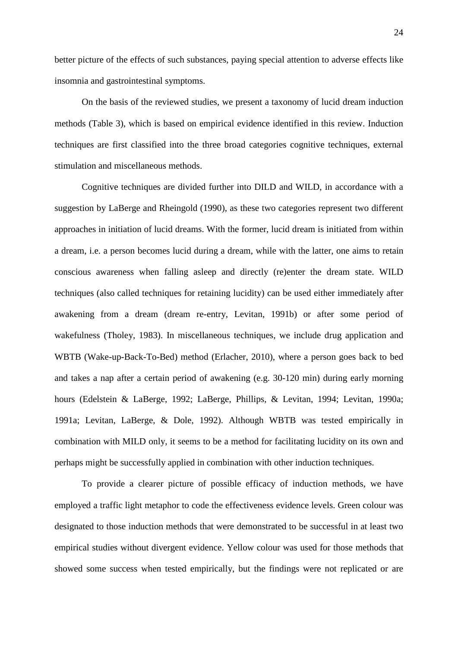better picture of the effects of such substances, paying special attention to adverse effects like insomnia and gastrointestinal symptoms.

On the basis of the reviewed studies, we present a taxonomy of lucid dream induction methods (Table 3), which is based on empirical evidence identified in this review. Induction techniques are first classified into the three broad categories cognitive techniques, external stimulation and miscellaneous methods.

Cognitive techniques are divided further into DILD and WILD, in accordance with a suggestion by LaBerge and Rheingold (1990), as these two categories represent two different approaches in initiation of lucid dreams. With the former, lucid dream is initiated from within a dream, i.e. a person becomes lucid during a dream, while with the latter, one aims to retain conscious awareness when falling asleep and directly (re)enter the dream state. WILD techniques (also called techniques for retaining lucidity) can be used either immediately after awakening from a dream (dream re-entry, Levitan, 1991b) or after some period of wakefulness (Tholey, 1983). In miscellaneous techniques, we include drug application and WBTB (Wake-up-Back-To-Bed) method (Erlacher, 2010), where a person goes back to bed and takes a nap after a certain period of awakening (e.g. 30-120 min) during early morning hours (Edelstein & LaBerge, 1992; LaBerge, Phillips, & Levitan, 1994; Levitan, 1990a; 1991a; Levitan, LaBerge, & Dole, 1992). Although WBTB was tested empirically in combination with MILD only, it seems to be a method for facilitating lucidity on its own and perhaps might be successfully applied in combination with other induction techniques.

To provide a clearer picture of possible efficacy of induction methods, we have employed a traffic light metaphor to code the effectiveness evidence levels. Green colour was designated to those induction methods that were demonstrated to be successful in at least two empirical studies without divergent evidence. Yellow colour was used for those methods that showed some success when tested empirically, but the findings were not replicated or are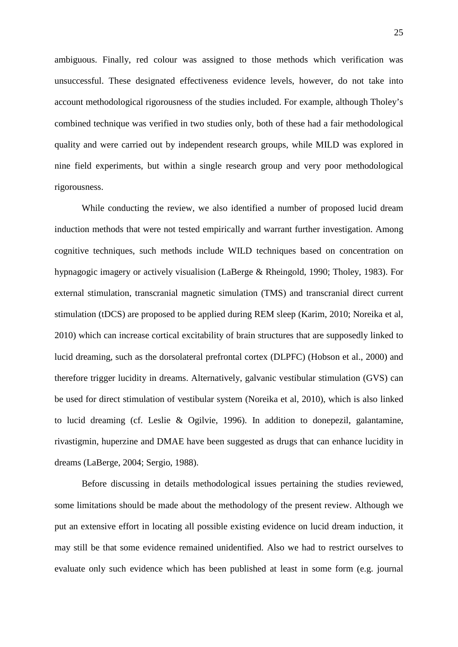ambiguous. Finally, red colour was assigned to those methods which verification was unsuccessful. These designated effectiveness evidence levels, however, do not take into account methodological rigorousness of the studies included. For example, although Tholey's combined technique was verified in two studies only, both of these had a fair methodological quality and were carried out by independent research groups, while MILD was explored in nine field experiments, but within a single research group and very poor methodological rigorousness.

While conducting the review, we also identified a number of proposed lucid dream induction methods that were not tested empirically and warrant further investigation. Among cognitive techniques, such methods include WILD techniques based on concentration on hypnagogic imagery or actively visualision (LaBerge & Rheingold, 1990; Tholey, 1983). For external stimulation, transcranial magnetic simulation (TMS) and transcranial direct current stimulation (tDCS) are proposed to be applied during REM sleep (Karim, 2010; Noreika et al, 2010) which can increase cortical excitability of brain structures that are supposedly linked to lucid dreaming, such as the dorsolateral prefrontal cortex (DLPFC) (Hobson et al., 2000) and therefore trigger lucidity in dreams. Alternatively, galvanic vestibular stimulation (GVS) can be used for direct stimulation of vestibular system (Noreika et al, 2010), which is also linked to lucid dreaming (cf. Leslie & Ogilvie, 1996). In addition to donepezil, galantamine, rivastigmin, huperzine and DMAE have been suggested as drugs that can enhance lucidity in dreams (LaBerge, 2004; Sergio, 1988).

Before discussing in details methodological issues pertaining the studies reviewed, some limitations should be made about the methodology of the present review. Although we put an extensive effort in locating all possible existing evidence on lucid dream induction, it may still be that some evidence remained unidentified. Also we had to restrict ourselves to evaluate only such evidence which has been published at least in some form (e.g. journal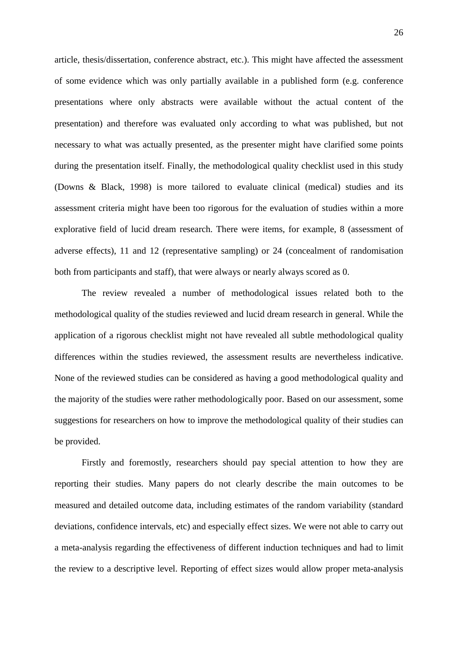article, thesis/dissertation, conference abstract, etc.). This might have affected the assessment of some evidence which was only partially available in a published form (e.g. conference presentations where only abstracts were available without the actual content of the presentation) and therefore was evaluated only according to what was published, but not necessary to what was actually presented, as the presenter might have clarified some points during the presentation itself. Finally, the methodological quality checklist used in this study (Downs & Black, 1998) is more tailored to evaluate clinical (medical) studies and its assessment criteria might have been too rigorous for the evaluation of studies within a more explorative field of lucid dream research. There were items, for example, 8 (assessment of adverse effects), 11 and 12 (representative sampling) or 24 (concealment of randomisation both from participants and staff), that were always or nearly always scored as 0.

The review revealed a number of methodological issues related both to the methodological quality of the studies reviewed and lucid dream research in general. While the application of a rigorous checklist might not have revealed all subtle methodological quality differences within the studies reviewed, the assessment results are nevertheless indicative. None of the reviewed studies can be considered as having a good methodological quality and the majority of the studies were rather methodologically poor. Based on our assessment, some suggestions for researchers on how to improve the methodological quality of their studies can be provided.

Firstly and foremostly, researchers should pay special attention to how they are reporting their studies. Many papers do not clearly describe the main outcomes to be measured and detailed outcome data, including estimates of the random variability (standard deviations, confidence intervals, etc) and especially effect sizes. We were not able to carry out a meta-analysis regarding the effectiveness of different induction techniques and had to limit the review to a descriptive level. Reporting of effect sizes would allow proper meta-analysis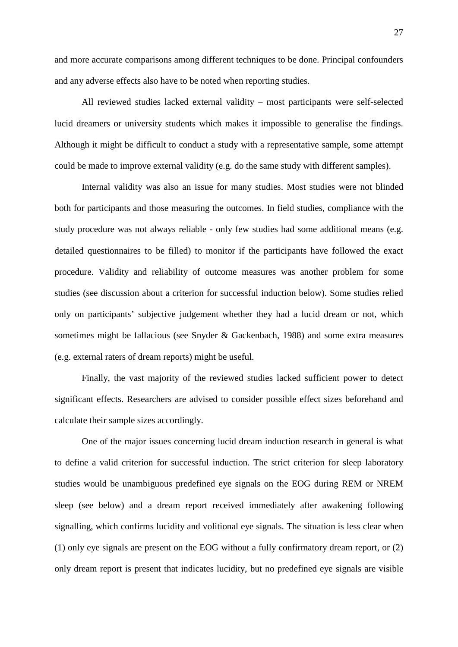and more accurate comparisons among different techniques to be done. Principal confounders and any adverse effects also have to be noted when reporting studies.

All reviewed studies lacked external validity – most participants were self-selected lucid dreamers or university students which makes it impossible to generalise the findings. Although it might be difficult to conduct a study with a representative sample, some attempt could be made to improve external validity (e.g. do the same study with different samples).

Internal validity was also an issue for many studies. Most studies were not blinded both for participants and those measuring the outcomes. In field studies, compliance with the study procedure was not always reliable - only few studies had some additional means (e.g. detailed questionnaires to be filled) to monitor if the participants have followed the exact procedure. Validity and reliability of outcome measures was another problem for some studies (see discussion about a criterion for successful induction below). Some studies relied only on participants' subjective judgement whether they had a lucid dream or not, which sometimes might be fallacious (see Snyder & Gackenbach, 1988) and some extra measures (e.g. external raters of dream reports) might be useful.

Finally, the vast majority of the reviewed studies lacked sufficient power to detect significant effects. Researchers are advised to consider possible effect sizes beforehand and calculate their sample sizes accordingly.

One of the major issues concerning lucid dream induction research in general is what to define a valid criterion for successful induction. The strict criterion for sleep laboratory studies would be unambiguous predefined eye signals on the EOG during REM or NREM sleep (see below) and a dream report received immediately after awakening following signalling, which confirms lucidity and volitional eye signals. The situation is less clear when (1) only eye signals are present on the EOG without a fully confirmatory dream report, or (2) only dream report is present that indicates lucidity, but no predefined eye signals are visible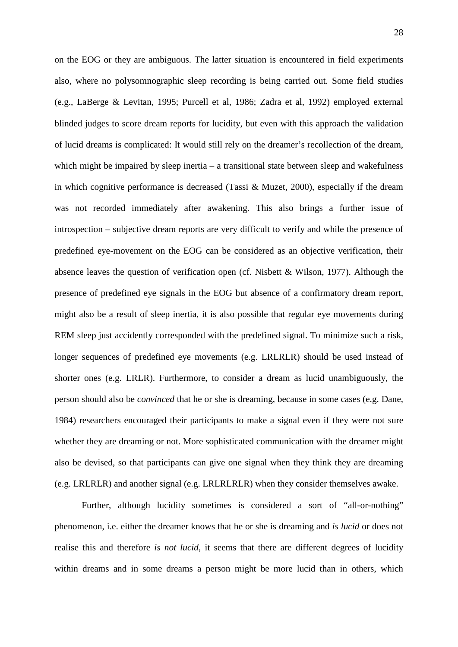on the EOG or they are ambiguous. The latter situation is encountered in field experiments also, where no polysomnographic sleep recording is being carried out. Some field studies (e.g., LaBerge & Levitan, 1995; Purcell et al, 1986; Zadra et al, 1992) employed external blinded judges to score dream reports for lucidity, but even with this approach the validation of lucid dreams is complicated: It would still rely on the dreamer's recollection of the dream, which might be impaired by sleep inertia – a transitional state between sleep and wakefulness in which cognitive performance is decreased (Tassi & Muzet, 2000), especially if the dream was not recorded immediately after awakening. This also brings a further issue of introspection – subjective dream reports are very difficult to verify and while the presence of predefined eye-movement on the EOG can be considered as an objective verification, their absence leaves the question of verification open (cf. Nisbett & Wilson, 1977). Although the presence of predefined eye signals in the EOG but absence of a confirmatory dream report, might also be a result of sleep inertia, it is also possible that regular eye movements during REM sleep just accidently corresponded with the predefined signal. To minimize such a risk, longer sequences of predefined eye movements (e.g. LRLRLR) should be used instead of shorter ones (e.g. LRLR). Furthermore, to consider a dream as lucid unambiguously, the person should also be *convinced* that he or she is dreaming, because in some cases (e.g. Dane, 1984) researchers encouraged their participants to make a signal even if they were not sure whether they are dreaming or not. More sophisticated communication with the dreamer might also be devised, so that participants can give one signal when they think they are dreaming (e.g. LRLRLR) and another signal (e.g. LRLRLRLR) when they consider themselves awake.

Further, although lucidity sometimes is considered a sort of "all-or-nothing" phenomenon, i.e. either the dreamer knows that he or she is dreaming and *is lucid* or does not realise this and therefore *is not lucid*, it seems that there are different degrees of lucidity within dreams and in some dreams a person might be more lucid than in others, which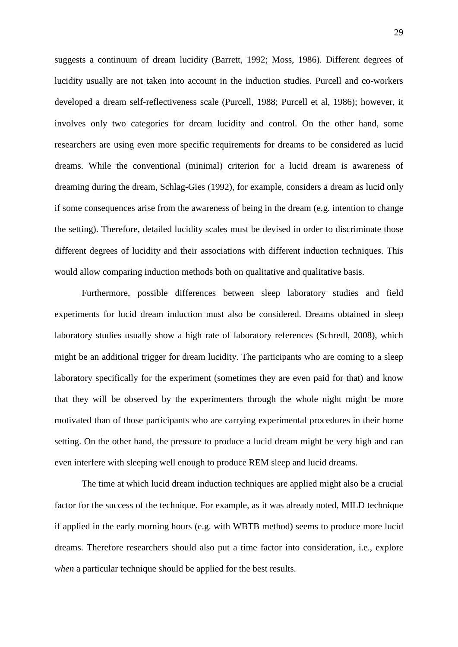suggests a continuum of dream lucidity (Barrett, 1992; Moss, 1986). Different degrees of lucidity usually are not taken into account in the induction studies. Purcell and co-workers developed a dream self-reflectiveness scale (Purcell, 1988; Purcell et al, 1986); however, it involves only two categories for dream lucidity and control. On the other hand, some researchers are using even more specific requirements for dreams to be considered as lucid dreams. While the conventional (minimal) criterion for a lucid dream is awareness of dreaming during the dream, Schlag-Gies (1992), for example, considers a dream as lucid only if some consequences arise from the awareness of being in the dream (e.g. intention to change the setting). Therefore, detailed lucidity scales must be devised in order to discriminate those different degrees of lucidity and their associations with different induction techniques. This would allow comparing induction methods both on qualitative and qualitative basis.

Furthermore, possible differences between sleep laboratory studies and field experiments for lucid dream induction must also be considered. Dreams obtained in sleep laboratory studies usually show a high rate of laboratory references (Schredl, 2008), which might be an additional trigger for dream lucidity. The participants who are coming to a sleep laboratory specifically for the experiment (sometimes they are even paid for that) and know that they will be observed by the experimenters through the whole night might be more motivated than of those participants who are carrying experimental procedures in their home setting. On the other hand, the pressure to produce a lucid dream might be very high and can even interfere with sleeping well enough to produce REM sleep and lucid dreams.

The time at which lucid dream induction techniques are applied might also be a crucial factor for the success of the technique. For example, as it was already noted, MILD technique if applied in the early morning hours (e.g. with WBTB method) seems to produce more lucid dreams. Therefore researchers should also put a time factor into consideration, i.e., explore *when* a particular technique should be applied for the best results.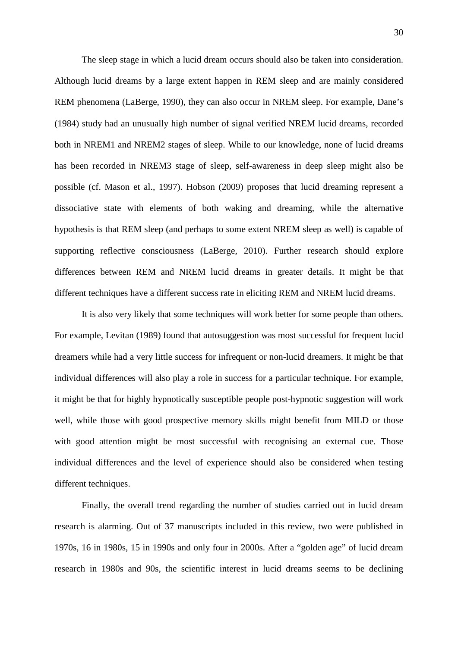The sleep stage in which a lucid dream occurs should also be taken into consideration. Although lucid dreams by a large extent happen in REM sleep and are mainly considered REM phenomena (LaBerge, 1990), they can also occur in NREM sleep. For example, Dane's (1984) study had an unusually high number of signal verified NREM lucid dreams, recorded both in NREM1 and NREM2 stages of sleep. While to our knowledge, none of lucid dreams has been recorded in NREM3 stage of sleep, self-awareness in deep sleep might also be possible (cf. Mason et al., 1997). Hobson (2009) proposes that lucid dreaming represent a dissociative state with elements of both waking and dreaming, while the alternative hypothesis is that REM sleep (and perhaps to some extent NREM sleep as well) is capable of supporting reflective consciousness (LaBerge, 2010). Further research should explore differences between REM and NREM lucid dreams in greater details. It might be that different techniques have a different success rate in eliciting REM and NREM lucid dreams.

It is also very likely that some techniques will work better for some people than others. For example, Levitan (1989) found that autosuggestion was most successful for frequent lucid dreamers while had a very little success for infrequent or non-lucid dreamers. It might be that individual differences will also play a role in success for a particular technique. For example, it might be that for highly hypnotically susceptible people post-hypnotic suggestion will work well, while those with good prospective memory skills might benefit from MILD or those with good attention might be most successful with recognising an external cue. Those individual differences and the level of experience should also be considered when testing different techniques.

Finally, the overall trend regarding the number of studies carried out in lucid dream research is alarming. Out of 37 manuscripts included in this review, two were published in 1970s, 16 in 1980s, 15 in 1990s and only four in 2000s. After a "golden age" of lucid dream research in 1980s and 90s, the scientific interest in lucid dreams seems to be declining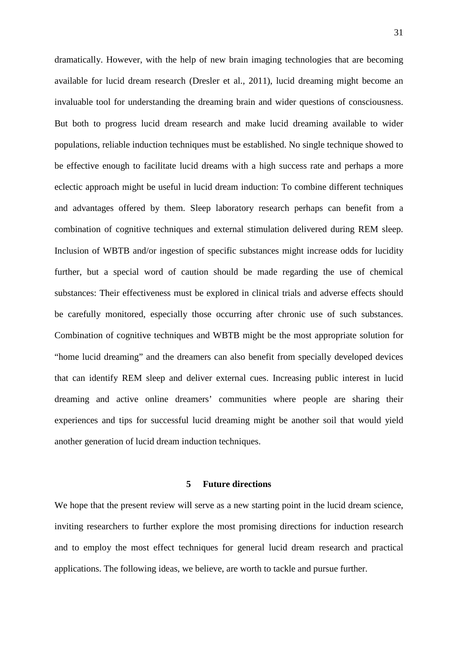dramatically. However, with the help of new brain imaging technologies that are becoming available for lucid dream research (Dresler et al., 2011), lucid dreaming might become an invaluable tool for understanding the dreaming brain and wider questions of consciousness. But both to progress lucid dream research and make lucid dreaming available to wider populations, reliable induction techniques must be established. No single technique showed to be effective enough to facilitate lucid dreams with a high success rate and perhaps a more eclectic approach might be useful in lucid dream induction: To combine different techniques and advantages offered by them. Sleep laboratory research perhaps can benefit from a combination of cognitive techniques and external stimulation delivered during REM sleep. Inclusion of WBTB and/or ingestion of specific substances might increase odds for lucidity further, but a special word of caution should be made regarding the use of chemical substances: Their effectiveness must be explored in clinical trials and adverse effects should be carefully monitored, especially those occurring after chronic use of such substances. Combination of cognitive techniques and WBTB might be the most appropriate solution for "home lucid dreaming" and the dreamers can also benefit from specially developed devices that can identify REM sleep and deliver external cues. Increasing public interest in lucid dreaming and active online dreamers' communities where people are sharing their experiences and tips for successful lucid dreaming might be another soil that would yield another generation of lucid dream induction techniques.

## **5 Future directions**

We hope that the present review will serve as a new starting point in the lucid dream science, inviting researchers to further explore the most promising directions for induction research and to employ the most effect techniques for general lucid dream research and practical applications. The following ideas, we believe, are worth to tackle and pursue further.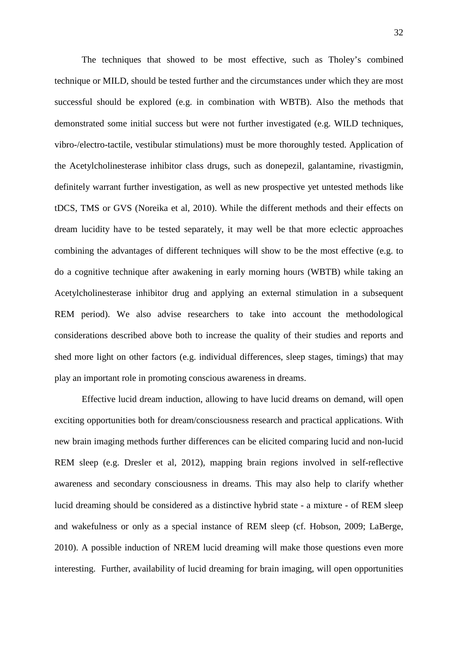The techniques that showed to be most effective, such as Tholey's combined technique or MILD, should be tested further and the circumstances under which they are most successful should be explored (e.g. in combination with WBTB). Also the methods that demonstrated some initial success but were not further investigated (e.g. WILD techniques, vibro-/electro-tactile, vestibular stimulations) must be more thoroughly tested. Application of the Acetylcholinesterase inhibitor class drugs, such as donepezil, galantamine, rivastigmin, definitely warrant further investigation, as well as new prospective yet untested methods like tDCS, TMS or GVS (Noreika et al, 2010). While the different methods and their effects on dream lucidity have to be tested separately, it may well be that more eclectic approaches combining the advantages of different techniques will show to be the most effective (e.g. to do a cognitive technique after awakening in early morning hours (WBTB) while taking an Acetylcholinesterase inhibitor drug and applying an external stimulation in a subsequent REM period). We also advise researchers to take into account the methodological considerations described above both to increase the quality of their studies and reports and shed more light on other factors (e.g. individual differences, sleep stages, timings) that may play an important role in promoting conscious awareness in dreams.

Effective lucid dream induction, allowing to have lucid dreams on demand, will open exciting opportunities both for dream/consciousness research and practical applications. With new brain imaging methods further differences can be elicited comparing lucid and non-lucid REM sleep (e.g. Dresler et al, 2012), mapping brain regions involved in self-reflective awareness and secondary consciousness in dreams. This may also help to clarify whether lucid dreaming should be considered as a distinctive hybrid state - a mixture - of REM sleep and wakefulness or only as a special instance of REM sleep (cf. Hobson, 2009; LaBerge, 2010). A possible induction of NREM lucid dreaming will make those questions even more interesting. Further, availability of lucid dreaming for brain imaging, will open opportunities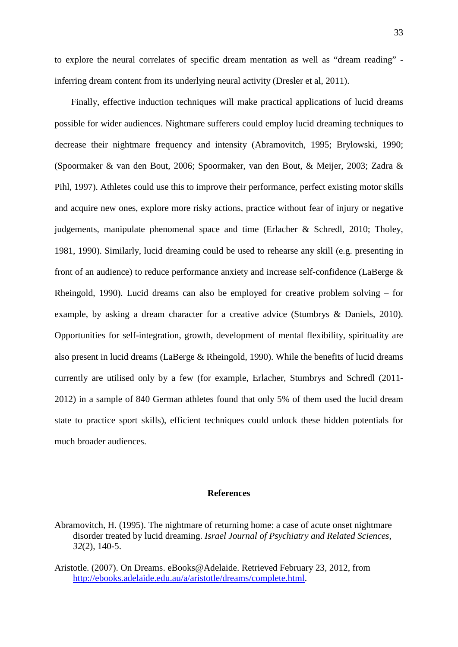to explore the neural correlates of specific dream mentation as well as "dream reading" inferring dream content from its underlying neural activity (Dresler et al, 2011).

Finally, effective induction techniques will make practical applications of lucid dreams possible for wider audiences. Nightmare sufferers could employ lucid dreaming techniques to decrease their nightmare frequency and intensity (Abramovitch, 1995; Brylowski, 1990; (Spoormaker & van den Bout, 2006; Spoormaker, van den Bout, & Meijer, 2003; Zadra & Pihl, 1997). Athletes could use this to improve their performance, perfect existing motor skills and acquire new ones, explore more risky actions, practice without fear of injury or negative judgements, manipulate phenomenal space and time (Erlacher & Schredl, 2010; Tholey, 1981, 1990). Similarly, lucid dreaming could be used to rehearse any skill (e.g. presenting in front of an audience) to reduce performance anxiety and increase self-confidence (LaBerge & Rheingold, 1990). Lucid dreams can also be employed for creative problem solving – for example, by asking a dream character for a creative advice (Stumbrys & Daniels, 2010). Opportunities for self-integration, growth, development of mental flexibility, spirituality are also present in lucid dreams (LaBerge & Rheingold, 1990). While the benefits of lucid dreams currently are utilised only by a few (for example, Erlacher, Stumbrys and Schredl (2011- 2012) in a sample of 840 German athletes found that only 5% of them used the lucid dream state to practice sport skills), efficient techniques could unlock these hidden potentials for much broader audiences.

## **References**

Abramovitch, H. (1995). The nightmare of returning home: a case of acute onset nightmare disorder treated by lucid dreaming. *Israel Journal of Psychiatry and Related Sciences*, *32*(2), 140-5.

Aristotle. (2007). On Dreams. eBooks@Adelaide. Retrieved February 23, 2012, from [http://ebooks.adelaide.edu.au/a/aristotle/dreams/complete.html.](http://ebooks.adelaide.edu.au/a/aristotle/dreams/complete.html)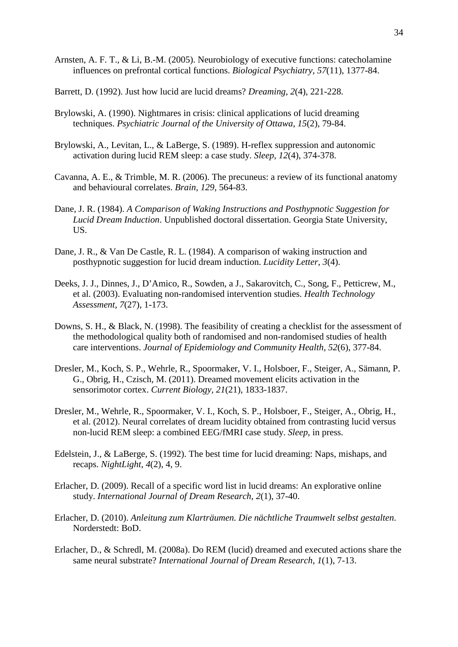- Arnsten, A. F. T., & Li, B.-M. (2005). Neurobiology of executive functions: catecholamine influences on prefrontal cortical functions. *Biological Psychiatry, 57*(11), 1377-84.
- Barrett, D. (1992). Just how lucid are lucid dreams? *Dreaming*, *2*(4), 221-228.
- Brylowski, A. (1990). Nightmares in crisis: clinical applications of lucid dreaming techniques. *Psychiatric Journal of the University of Ottawa*, *15*(2), 79-84.
- Brylowski, A., Levitan, L., & LaBerge, S. (1989). H-reflex suppression and autonomic activation during lucid REM sleep: a case study. *Sleep, 12*(4), 374-378.
- Cavanna, A. E., & Trimble, M. R. (2006). The precuneus: a review of its functional anatomy and behavioural correlates. *Brain, 129*, 564-83.
- Dane, J. R. (1984). *A Comparison of Waking Instructions and Posthypnotic Suggestion for Lucid Dream Induction*. Unpublished doctoral dissertation. Georgia State University, US.
- Dane, J. R., & Van De Castle, R. L. (1984). A comparison of waking instruction and posthypnotic suggestion for lucid dream induction. *Lucidity Letter*, *3*(4).
- Deeks, J. J., Dinnes, J., D'Amico, R., Sowden, a J., Sakarovitch, C., Song, F., Petticrew, M., et al. (2003). Evaluating non-randomised intervention studies. *Health Technology Assessment*, *7*(27), 1-173.
- Downs, S. H., & Black, N. (1998). The feasibility of creating a checklist for the assessment of the methodological quality both of randomised and non-randomised studies of health care interventions. *Journal of Epidemiology and Community Health*, *52*(6), 377-84.
- Dresler, M., Koch, S. P., Wehrle, R., Spoormaker, V. I., Holsboer, F., Steiger, A., Sämann, P. G., Obrig, H., Czisch, M. (2011). Dreamed movement elicits activation in the sensorimotor cortex. *Current Biology, 21*(21), 1833-1837.
- Dresler, M., Wehrle, R., Spoormaker, V. I., Koch, S. P., Holsboer, F., Steiger, A., Obrig, H., et al. (2012). Neural correlates of dream lucidity obtained from contrasting lucid versus non-lucid REM sleep: a combined EEG/fMRI case study. *Sleep*, in press.
- Edelstein, J., & LaBerge, S. (1992). The best time for lucid dreaming: Naps, mishaps, and recaps. *NightLight*, *4*(2), 4, 9.
- Erlacher, D. (2009). Recall of a specific word list in lucid dreams: An explorative online study. *International Journal of Dream Research*, *2*(1), 37-40.
- Erlacher, D. (2010). *Anleitung zum Klarträumen. Die nächtliche Traumwelt selbst gestalten*. Norderstedt: BoD.
- Erlacher, D., & Schredl, M. (2008a). Do REM (lucid) dreamed and executed actions share the same neural substrate? *International Journal of Dream Research*, *1*(1), 7-13.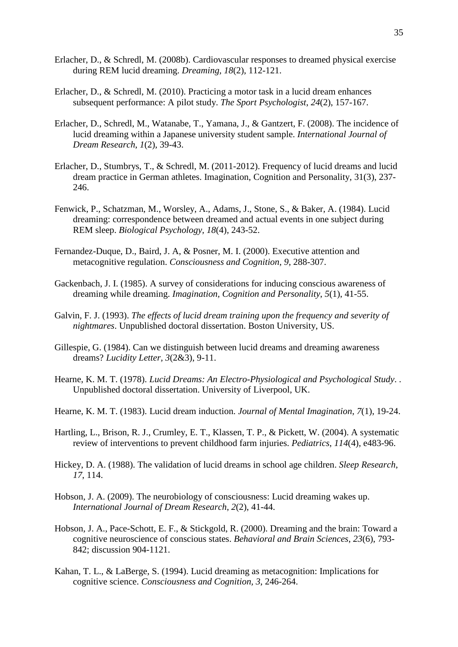- Erlacher, D., & Schredl, M. (2008b). Cardiovascular responses to dreamed physical exercise during REM lucid dreaming. *Dreaming, 18*(2), 112-121.
- Erlacher, D., & Schredl, M. (2010). Practicing a motor task in a lucid dream enhances subsequent performance: A pilot study. *The Sport Psychologist*, *24*(2), 157-167.
- Erlacher, D., Schredl, M., Watanabe, T., Yamana, J., & Gantzert, F. (2008). The incidence of lucid dreaming within a Japanese university student sample. *International Journal of Dream Research*, *1*(2), 39-43.
- Erlacher, D., Stumbrys, T., & Schredl, M. (2011-2012). Frequency of lucid dreams and lucid dream practice in German athletes. Imagination, Cognition and Personality, 31(3), 237- 246.
- Fenwick, P., Schatzman, M., Worsley, A., Adams, J., Stone, S., & Baker, A. (1984). Lucid dreaming: correspondence between dreamed and actual events in one subject during REM sleep. *Biological Psychology, 18*(4), 243-52.
- Fernandez-Duque, D., Baird, J. A, & Posner, M. I. (2000). Executive attention and metacognitive regulation. *Consciousness and Cognition, 9*, 288-307.
- Gackenbach, J. I. (1985). A survey of considerations for inducing conscious awareness of dreaming while dreaming. *Imagination, Cognition and Personality*, *5*(1), 41-55.
- Galvin, F. J. (1993). *The effects of lucid dream training upon the frequency and severity of nightmares*. Unpublished doctoral dissertation. Boston University, US.
- Gillespie, G. (1984). Can we distinguish between lucid dreams and dreaming awareness dreams? *Lucidity Letter, 3*(2&3), 9-11.
- Hearne, K. M. T. (1978). *Lucid Dreams: An Electro-Physiological and Psychological Study*. . Unpublished doctoral dissertation. University of Liverpool, UK.
- Hearne, K. M. T. (1983). Lucid dream induction. *Journal of Mental Imagination*, *7*(1), 19-24.
- Hartling, L., Brison, R. J., Crumley, E. T., Klassen, T. P., & Pickett, W. (2004). A systematic review of interventions to prevent childhood farm injuries. *Pediatrics*, *114*(4), e483-96.
- Hickey, D. A. (1988). The validation of lucid dreams in school age children. *Sleep Research*, *17*, 114.
- Hobson, J. A. (2009). The neurobiology of consciousness: Lucid dreaming wakes up. *International Journal of Dream Research*, *2*(2), 41-44.
- Hobson, J. A., Pace-Schott, E. F., & Stickgold, R. (2000). Dreaming and the brain: Toward a cognitive neuroscience of conscious states. *Behavioral and Brain Sciences*, *23*(6), 793- 842; discussion 904-1121.
- Kahan, T. L., & LaBerge, S. (1994). Lucid dreaming as metacognition: Implications for cognitive science. *Consciousness and Cognition, 3*, 246-264.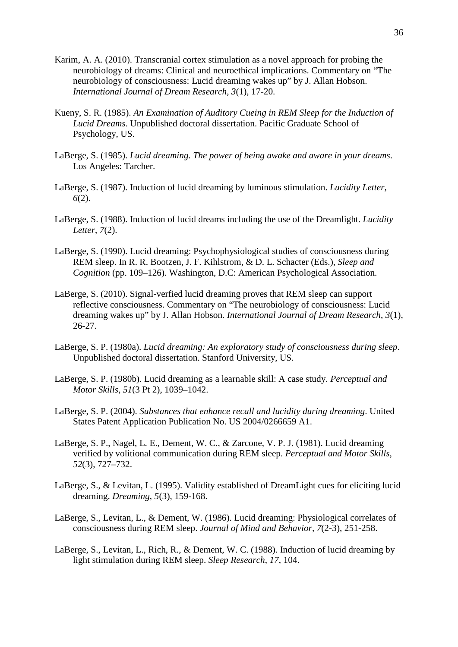- Karim, A. A. (2010). Transcranial cortex stimulation as a novel approach for probing the neurobiology of dreams: Clinical and neuroethical implications. Commentary on "The neurobiology of consciousness: Lucid dreaming wakes up" by J. Allan Hobson. *International Journal of Dream Research*, *3*(1), 17-20.
- Kueny, S. R. (1985). *An Examination of Auditory Cueing in REM Sleep for the Induction of Lucid Dreams*. Unpublished doctoral dissertation. Pacific Graduate School of Psychology, US.
- LaBerge, S. (1985). *Lucid dreaming. The power of being awake and aware in your dreams*. Los Angeles: Tarcher.
- LaBerge, S. (1987). Induction of lucid dreaming by luminous stimulation. *Lucidity Letter*, *6*(2).
- LaBerge, S. (1988). Induction of lucid dreams including the use of the Dreamlight. *Lucidity Letter*, *7*(2).
- LaBerge, S. (1990). Lucid dreaming: Psychophysiological studies of consciousness during REM sleep. In R. R. Bootzen, J. F. Kihlstrom, & D. L. Schacter (Eds.), *Sleep and Cognition* (pp. 109–126). Washington, D.C: American Psychological Association.
- LaBerge, S. (2010). Signal-verfied lucid dreaming proves that REM sleep can support reflective consciousness. Commentary on "The neurobiology of consciousness: Lucid dreaming wakes up" by J. Allan Hobson. *International Journal of Dream Research*, *3*(1), 26-27.
- LaBerge, S. P. (1980a). *Lucid dreaming: An exploratory study of consciousness during sleep*. Unpublished doctoral dissertation. Stanford University, US.
- LaBerge, S. P. (1980b). Lucid dreaming as a learnable skill: A case study. *Perceptual and Motor Skills*, *51*(3 Pt 2), 1039–1042.
- LaBerge, S. P. (2004). *Substances that enhance recall and lucidity during dreaming*. United States Patent Application Publication No. US 2004/0266659 A1.
- LaBerge, S. P., Nagel, L. E., Dement, W. C., & Zarcone, V. P. J. (1981). Lucid dreaming verified by volitional communication during REM sleep. *Perceptual and Motor Skills*, *52*(3), 727–732.
- LaBerge, S., & Levitan, L. (1995). Validity established of DreamLight cues for eliciting lucid dreaming. *Dreaming*, *5*(3), 159-168.
- LaBerge, S., Levitan, L., & Dement, W. (1986). Lucid dreaming: Physiological correlates of consciousness during REM sleep. *Journal of Mind and Behavior, 7*(2-3), 251-258.
- LaBerge, S., Levitan, L., Rich, R., & Dement, W. C. (1988). Induction of lucid dreaming by light stimulation during REM sleep. *Sleep Research*, *17*, 104.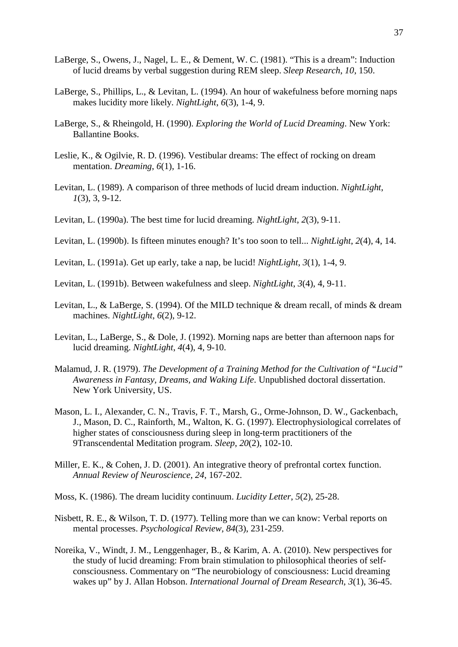- LaBerge, S., Owens, J., Nagel, L. E., & Dement, W. C. (1981). "This is a dream": Induction of lucid dreams by verbal suggestion during REM sleep. *Sleep Research*, *10*, 150.
- LaBerge, S., Phillips, L., & Levitan, L. (1994). An hour of wakefulness before morning naps makes lucidity more likely. *NightLight*, *6*(3), 1-4, 9.
- LaBerge, S., & Rheingold, H. (1990). *Exploring the World of Lucid Dreaming*. New York: Ballantine Books.
- Leslie, K., & Ogilvie, R. D. (1996). Vestibular dreams: The effect of rocking on dream mentation. *Dreaming*, *6*(1), 1-16.
- Levitan, L. (1989). A comparison of three methods of lucid dream induction. *NightLight*, *1*(3), 3, 9-12.
- Levitan, L. (1990a). The best time for lucid dreaming. *NightLight*, *2*(3), 9-11.
- Levitan, L. (1990b). Is fifteen minutes enough? It's too soon to tell... *NightLight*, *2*(4), 4, 14.
- Levitan, L. (1991a). Get up early, take a nap, be lucid! *NightLight*, *3*(1), 1-4, 9.
- Levitan, L. (1991b). Between wakefulness and sleep. *NightLight*, *3*(4), 4, 9-11.
- Levitan, L., & LaBerge, S. (1994). Of the MILD technique & dream recall, of minds & dream machines. *NightLight*, *6*(2), 9-12.
- Levitan, L., LaBerge, S., & Dole, J. (1992). Morning naps are better than afternoon naps for lucid dreaming. *NightLight*, *4*(4), 4, 9-10.
- Malamud, J. R. (1979). *The Development of a Training Method for the Cultivation of "Lucid" Awareness in Fantasy, Dreams, and Waking Life*. Unpublished doctoral dissertation. New York University, US.
- Mason, L. I., Alexander, C. N., Travis, F. T., Marsh, G., Orme-Johnson, D. W., Gackenbach, J., Mason, D. C., Rainforth, M., Walton, K. G. (1997). Electrophysiological correlates of higher states of consciousness during sleep in long-term practitioners of the 9Transcendental Meditation program. *Sleep*, *20*(2), 102-10.
- Miller, E. K., & Cohen, J. D. (2001). An integrative theory of prefrontal cortex function. *Annual Review of Neuroscience, 24*, 167-202.
- Moss, K. (1986). The dream lucidity continuum. *Lucidity Letter*, *5*(2), 25-28.
- Nisbett, R. E., & Wilson, T. D. (1977). Telling more than we can know: Verbal reports on mental processes. *Psychological Review, 84*(3), 231-259.
- Noreika, V., Windt, J. M., Lenggenhager, B., & Karim, A. A. (2010). New perspectives for the study of lucid dreaming: From brain stimulation to philosophical theories of selfconsciousness. Commentary on "The neurobiology of consciousness: Lucid dreaming wakes up" by J. Allan Hobson. *International Journal of Dream Research*, *3*(1), 36-45.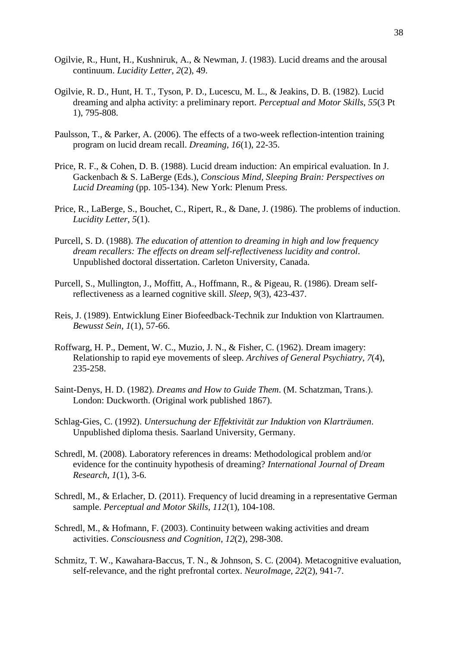- Ogilvie, R., Hunt, H., Kushniruk, A., & Newman, J. (1983). Lucid dreams and the arousal continuum. *Lucidity Letter*, *2*(2), 49.
- Ogilvie, R. D., Hunt, H. T., Tyson, P. D., Lucescu, M. L., & Jeakins, D. B. (1982). Lucid dreaming and alpha activity: a preliminary report. *Perceptual and Motor Skills*, *55*(3 Pt 1), 795-808.
- Paulsson, T., & Parker, A. (2006). The effects of a two-week reflection-intention training program on lucid dream recall. *Dreaming*, *16*(1), 22-35.
- Price, R. F., & Cohen, D. B. (1988). Lucid dream induction: An empirical evaluation. In J. Gackenbach & S. LaBerge (Eds.), *Conscious Mind, Sleeping Brain: Perspectives on Lucid Dreaming* (pp. 105-134). New York: Plenum Press.
- Price, R., LaBerge, S., Bouchet, C., Ripert, R., & Dane, J. (1986). The problems of induction. *Lucidity Letter*, *5*(1).
- Purcell, S. D. (1988). *The education of attention to dreaming in high and low frequency dream recallers: The effects on dream self-reflectiveness lucidity and control*. Unpublished doctoral dissertation. Carleton University, Canada.
- Purcell, S., Mullington, J., Moffitt, A., Hoffmann, R., & Pigeau, R. (1986). Dream selfreflectiveness as a learned cognitive skill. *Sleep*, *9*(3), 423-437.
- Reis, J. (1989). Entwicklung Einer Biofeedback-Technik zur Induktion von Klartraumen. *Bewusst Sein*, *1*(1), 57-66.
- Roffwarg, H. P., Dement, W. C., Muzio, J. N., & Fisher, C. (1962). Dream imagery: Relationship to rapid eye movements of sleep. *Archives of General Psychiatry*, *7*(4), 235-258.
- Saint-Denys, H. D. (1982). *Dreams and How to Guide Them*. (M. Schatzman, Trans.). London: Duckworth. (Original work published 1867).
- Schlag-Gies, C. (1992). *Untersuchung der Effektivität zur Induktion von Klarträumen*. Unpublished diploma thesis. Saarland University, Germany.
- Schredl, M. (2008). Laboratory references in dreams: Methodological problem and/or evidence for the continuity hypothesis of dreaming? *International Journal of Dream Research*, *1*(1), 3-6.
- Schredl, M., & Erlacher, D. (2011). Frequency of lucid dreaming in a representative German sample. *Perceptual and Motor Skills*, *112*(1), 104-108.
- Schredl, M., & Hofmann, F. (2003). Continuity between waking activities and dream activities. *Consciousness and Cognition, 12*(2), 298-308.
- Schmitz, T. W., Kawahara-Baccus, T. N., & Johnson, S. C. (2004). Metacognitive evaluation, self-relevance, and the right prefrontal cortex. *NeuroImage, 22*(2), 941-7.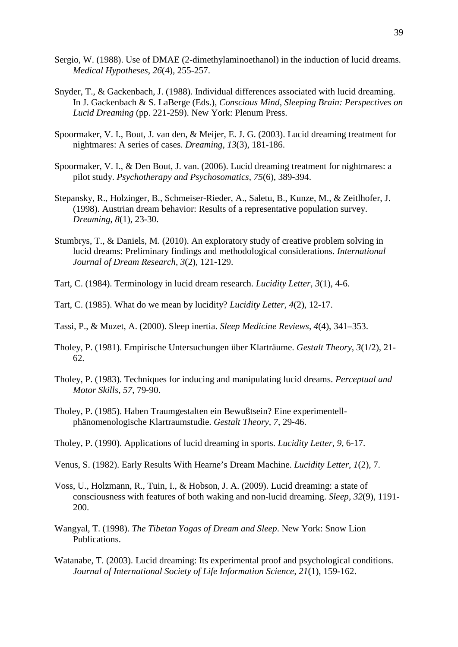- Sergio, W. (1988). Use of DMAE (2-dimethylaminoethanol) in the induction of lucid dreams. *Medical Hypotheses*, *26*(4), 255-257.
- Snyder, T., & Gackenbach, J. (1988). Individual differences associated with lucid dreaming. In J. Gackenbach & S. LaBerge (Eds.), *Conscious Mind, Sleeping Brain: Perspectives on Lucid Dreaming* (pp. 221-259). New York: Plenum Press.
- Spoormaker, V. I., Bout, J. van den, & Meijer, E. J. G. (2003). Lucid dreaming treatment for nightmares: A series of cases. *Dreaming*, *13*(3), 181-186.
- Spoormaker, V. I., & Den Bout, J. van. (2006). Lucid dreaming treatment for nightmares: a pilot study. *Psychotherapy and Psychosomatics*, *75*(6), 389-394.
- Stepansky, R., Holzinger, B., Schmeiser-Rieder, A., Saletu, B., Kunze, M., & Zeitlhofer, J. (1998). Austrian dream behavior: Results of a representative population survey. *Dreaming*, *8*(1), 23-30.
- Stumbrys, T., & Daniels, M. (2010). An exploratory study of creative problem solving in lucid dreams: Preliminary findings and methodological considerations. *International Journal of Dream Research*, *3*(2), 121-129.
- Tart, C. (1984). Terminology in lucid dream research. *Lucidity Letter, 3*(1), 4-6.
- Tart, C. (1985). What do we mean by lucidity? *Lucidity Letter, 4*(2), 12-17.
- Tassi, P., & Muzet, A. (2000). Sleep inertia. *Sleep Medicine Reviews*, *4*(4), 341–353.
- Tholey, P. (1981). Empirische Untersuchungen über Klarträume. *Gestalt Theory*, *3*(1/2), 21- 62.
- Tholey, P. (1983). Techniques for inducing and manipulating lucid dreams. *Perceptual and Motor Skills*, *57*, 79-90.
- Tholey, P. (1985). Haben Traumgestalten ein Bewußtsein? Eine experimentellphänomenologische Klartraumstudie. *Gestalt Theory, 7*, 29-46.
- Tholey, P. (1990). Applications of lucid dreaming in sports. *Lucidity Letter, 9*, 6-17.
- Venus, S. (1982). Early Results With Hearne's Dream Machine. *Lucidity Letter*, *1*(2), 7.
- Voss, U., Holzmann, R., Tuin, I., & Hobson, J. A. (2009). Lucid dreaming: a state of consciousness with features of both waking and non-lucid dreaming. *Sleep, 32*(9), 1191- 200.
- Wangyal, T. (1998). *The Tibetan Yogas of Dream and Sleep*. New York: Snow Lion Publications.
- Watanabe, T. (2003). Lucid dreaming: Its experimental proof and psychological conditions. *Journal of International Society of Life Information Science, 21*(1), 159-162.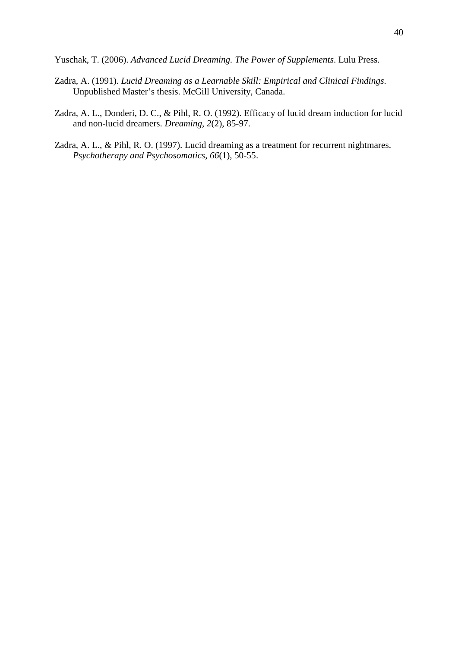Yuschak, T. (2006). *Advanced Lucid Dreaming. The Power of Supplements*. Lulu Press.

- Zadra, A. (1991). *Lucid Dreaming as a Learnable Skill: Empirical and Clinical Findings*. Unpublished Master's thesis. McGill University, Canada.
- Zadra, A. L., Donderi, D. C., & Pihl, R. O. (1992). Efficacy of lucid dream induction for lucid and non-lucid dreamers. *Dreaming*, *2*(2), 85-97.
- Zadra, A. L., & Pihl, R. O. (1997). Lucid dreaming as a treatment for recurrent nightmares. *Psychotherapy and Psychosomatics*, *66*(1), 50-55.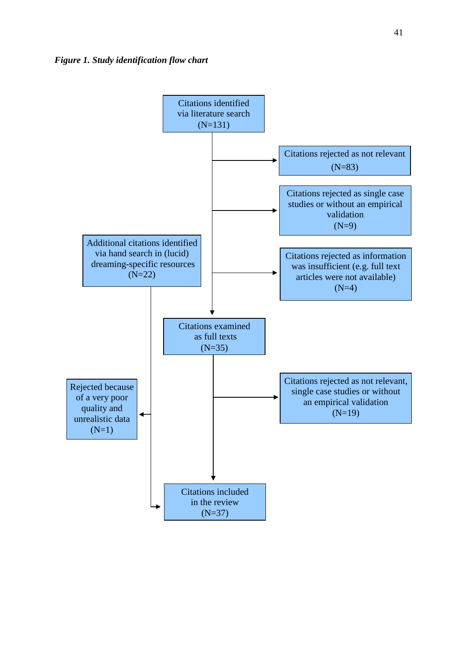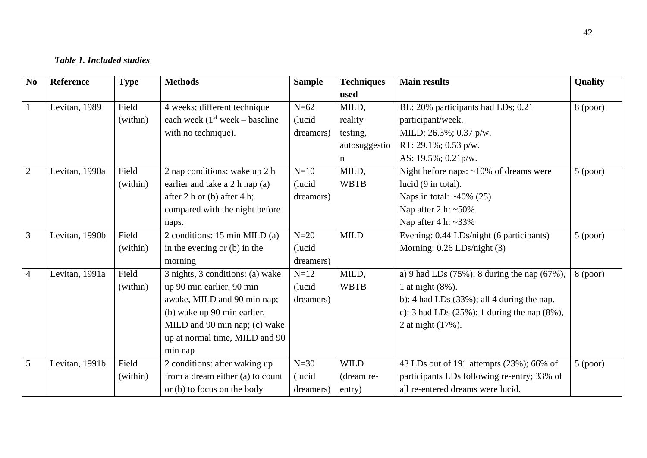## *Table 1. Included studies*

| N <sub>0</sub> | <b>Reference</b> | <b>Type</b> | <b>Methods</b>                    | <b>Sample</b> | <b>Techniques</b> | <b>Main results</b>                                 | Quality    |
|----------------|------------------|-------------|-----------------------------------|---------------|-------------------|-----------------------------------------------------|------------|
|                |                  |             |                                   |               | used              |                                                     |            |
| $\mathbf{1}$   | Levitan, 1989    | Field       | 4 weeks; different technique      | $N=62$        | MILD,             | BL: 20% participants had LDs; 0.21                  | $8$ (poor) |
|                |                  | (within)    | each week $(1st week - baseline)$ | (lucid        | reality           | participant/week.                                   |            |
|                |                  |             | with no technique).               | dreamers)     | testing,          | MILD: 26.3%; 0.37 p/w.                              |            |
|                |                  |             |                                   |               | autosuggestio     | RT: 29.1%; 0.53 p/w.                                |            |
|                |                  |             |                                   |               | n                 | AS: 19.5%; 0.21p/w.                                 |            |
| $\overline{2}$ | Levitan, 1990a   | Field       | 2 nap conditions: wake up 2 h     | $N=10$        | MILD,             | Night before naps: $\sim$ 10% of dreams were        | $5$ (poor) |
|                |                  | (within)    | earlier and take a 2 h nap (a)    | (lucid)       | <b>WBTB</b>       | lucid (9 in total).                                 |            |
|                |                  |             | after 2 h or (b) after 4 h;       | dreamers)     |                   | Naps in total: $~40\%$ (25)                         |            |
|                |                  |             | compared with the night before    |               |                   | Nap after 2 h: $~50\%$                              |            |
|                |                  |             | naps.                             |               |                   | Nap after $4 h: \sim 33\%$                          |            |
| $\overline{3}$ | Levitan, 1990b   | Field       | 2 conditions: 15 min MILD (a)     | $N=20$        | <b>MILD</b>       | Evening: 0.44 LDs/night (6 participants)            | $5$ (poor) |
|                |                  | (within)    | in the evening or $(b)$ in the    | (lucid        |                   | Morning: 0.26 LDs/night (3)                         |            |
|                |                  |             | morning                           | dreamers)     |                   |                                                     |            |
| $\overline{4}$ | Levitan, 1991a   | Field       | 3 nights, 3 conditions: (a) wake  | $N=12$        | MILD,             | a) 9 had LDs $(75\%)$ ; 8 during the nap $(67\%)$ , | $8$ (poor) |
|                |                  | (within)    | up 90 min earlier, 90 min         | (lucid        | <b>WBTB</b>       | 1 at night $(8\%)$ .                                |            |
|                |                  |             | awake, MILD and 90 min nap;       | dreamers)     |                   | b): 4 had LDs $(33\%)$ ; all 4 during the nap.      |            |
|                |                  |             | (b) wake up 90 min earlier,       |               |                   | c): 3 had LDs $(25\%)$ ; 1 during the nap $(8\%)$ , |            |
|                |                  |             | MILD and 90 min nap; (c) wake     |               |                   | 2 at night (17%).                                   |            |
|                |                  |             | up at normal time, MILD and 90    |               |                   |                                                     |            |
|                |                  |             | min nap                           |               |                   |                                                     |            |
| 5              | Levitan, 1991b   | Field       | 2 conditions: after waking up     | $N=30$        | <b>WILD</b>       | 43 LDs out of 191 attempts (23%); 66% of            | $5$ (poor) |
|                |                  | (within)    | from a dream either (a) to count  | (lucid        | (dream re-        | participants LDs following re-entry; 33% of         |            |
|                |                  |             | or (b) to focus on the body       | dreamers)     | entry)            | all re-entered dreams were lucid.                   |            |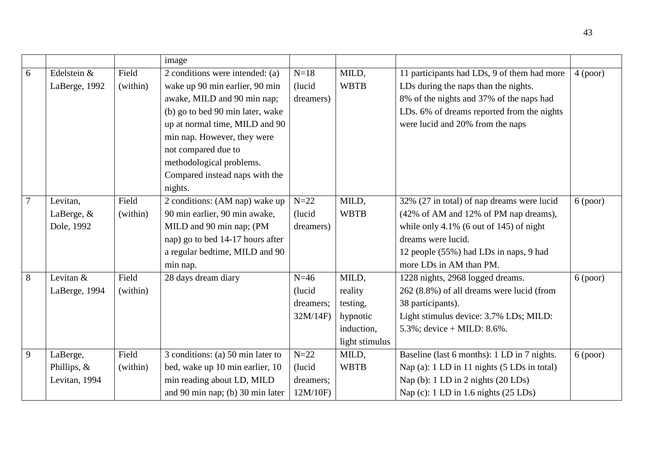|                |               |          | image                             |           |                |                                             |          |
|----------------|---------------|----------|-----------------------------------|-----------|----------------|---------------------------------------------|----------|
| 6              | Edelstein &   | Field    | 2 conditions were intended: (a)   | $N=18$    | MILD,          | 11 participants had LDs, 9 of them had more | 4 (poor) |
|                | LaBerge, 1992 | (within) | wake up 90 min earlier, 90 min    | (lucid)   | <b>WBTB</b>    | LDs during the naps than the nights.        |          |
|                |               |          | awake, MILD and 90 min nap;       | dreamers) |                | 8% of the nights and 37% of the naps had    |          |
|                |               |          | (b) go to bed 90 min later, wake  |           |                | LDs. 6% of dreams reported from the nights  |          |
|                |               |          | up at normal time, MILD and 90    |           |                | were lucid and 20% from the naps            |          |
|                |               |          | min nap. However, they were       |           |                |                                             |          |
|                |               |          | not compared due to               |           |                |                                             |          |
|                |               |          | methodological problems.          |           |                |                                             |          |
|                |               |          | Compared instead naps with the    |           |                |                                             |          |
|                |               |          | nights.                           |           |                |                                             |          |
| $\overline{7}$ | Levitan,      | Field    | 2 conditions: (AM nap) wake up    | $N=22$    | MILD,          | 32% (27 in total) of nap dreams were lucid  | 6 (poor) |
|                | LaBerge, &    | (within) | 90 min earlier, 90 min awake,     | (lucid)   | <b>WBTB</b>    | (42% of AM and 12% of PM nap dreams),       |          |
|                | Dole, 1992    |          | MILD and 90 min nap; (PM          | dreamers) |                | while only 4.1% (6 out of 145) of night     |          |
|                |               |          | nap) go to bed 14-17 hours after  |           |                | dreams were lucid.                          |          |
|                |               |          | a regular bedtime, MILD and 90    |           |                | 12 people (55%) had LDs in naps, 9 had      |          |
|                |               |          | min nap.                          |           |                | more LDs in AM than PM.                     |          |
| 8              | Levitan &     | Field    | 28 days dream diary               | $N=46$    | MILD,          | 1228 nights, 2968 logged dreams.            | 6 (poor) |
|                | LaBerge, 1994 | (within) |                                   | (lucid)   | reality        | 262 (8.8%) of all dreams were lucid (from   |          |
|                |               |          |                                   | dreamers; | testing,       | 38 participants).                           |          |
|                |               |          |                                   | 32M/14F   | hypnotic       | Light stimulus device: 3.7% LDs; MILD:      |          |
|                |               |          |                                   |           | induction,     | 5.3%; device + MILD: $8.6\%$ .              |          |
|                |               |          |                                   |           | light stimulus |                                             |          |
| 9              | LaBerge,      | Field    | 3 conditions: (a) 50 min later to | $N=22$    | MILD,          | Baseline (last 6 months): 1 LD in 7 nights. | 6 (poor) |
|                | Phillips, $&$ | (within) | bed, wake up 10 min earlier, 10   | (lucid)   | <b>WBTB</b>    | Nap (a): 1 LD in 11 nights (5 LDs in total) |          |
|                | Levitan, 1994 |          | min reading about LD, MILD        | dreamers; |                | Nap (b): 1 LD in 2 nights (20 LDs)          |          |
|                |               |          | and 90 min nap; (b) 30 min later  | 12M/10F)  |                | Nap (c): $1$ LD in 1.6 nights (25 LDs)      |          |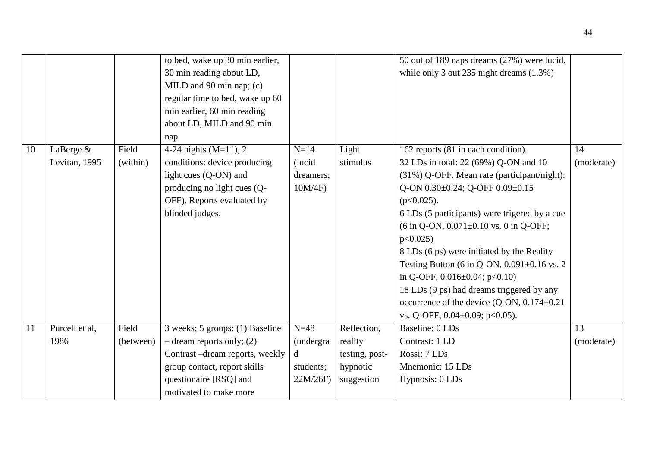|    |                |           | to bed, wake up 30 min earlier,<br>30 min reading about LD,<br>MILD and 90 min nap; (c)<br>regular time to bed, wake up 60<br>min earlier, 60 min reading<br>about LD, MILD and 90 min<br>nap |           |                | 50 out of 189 naps dreams (27%) were lucid,<br>while only 3 out 235 night dreams (1.3%) |            |
|----|----------------|-----------|-----------------------------------------------------------------------------------------------------------------------------------------------------------------------------------------------|-----------|----------------|-----------------------------------------------------------------------------------------|------------|
| 10 | LaBerge &      | Field     | 4-24 nights $(M=11)$ , 2                                                                                                                                                                      | $N=14$    | Light          | 162 reports (81 in each condition).                                                     | 14         |
|    | Levitan, 1995  | (within)  | conditions: device producing                                                                                                                                                                  | (lucid)   | stimulus       | 32 LDs in total: 22 (69%) Q-ON and 10                                                   | (moderate) |
|    |                |           | light cues (Q-ON) and                                                                                                                                                                         | dreamers: |                | (31%) Q-OFF. Mean rate (participant/night):                                             |            |
|    |                |           | producing no light cues (Q-                                                                                                                                                                   | 10M/4F    |                | Q-ON 0.30±0.24; Q-OFF 0.09±0.15                                                         |            |
|    |                |           | OFF). Reports evaluated by                                                                                                                                                                    |           |                | $(p<0.025)$ .                                                                           |            |
|    |                |           | blinded judges.                                                                                                                                                                               |           |                | 6 LDs (5 participants) were trigered by a cue                                           |            |
|    |                |           |                                                                                                                                                                                               |           |                | $(6 \text{ in } Q\text{-ON}, 0.071 \pm 0.10 \text{ vs. } 0 \text{ in } Q\text{-OFF};$   |            |
|    |                |           |                                                                                                                                                                                               |           |                | p<0.025                                                                                 |            |
|    |                |           |                                                                                                                                                                                               |           |                | 8 LDs (6 ps) were initiated by the Reality                                              |            |
|    |                |           |                                                                                                                                                                                               |           |                | Testing Button (6 in Q-ON, $0.091 \pm 0.16$ vs. 2                                       |            |
|    |                |           |                                                                                                                                                                                               |           |                | in Q-OFF, $0.016 \pm 0.04$ ; p<0.10)                                                    |            |
|    |                |           |                                                                                                                                                                                               |           |                | 18 LDs (9 ps) had dreams triggered by any                                               |            |
|    |                |           |                                                                                                                                                                                               |           |                | occurrence of the device $(Q-ON, 0.174 \pm 0.21)$                                       |            |
|    |                |           |                                                                                                                                                                                               |           |                | vs. Q-OFF, 0.04±0.09; p<0.05).                                                          |            |
| 11 | Purcell et al, | Field     | 3 weeks; 5 groups: (1) Baseline                                                                                                                                                               | $N=48$    | Reflection,    | Baseline: 0 LDs                                                                         | 13         |
|    | 1986           | (between) | $-$ dream reports only; (2)                                                                                                                                                                   | (undergra | reality        | Contrast: 1 LD                                                                          | (moderate) |
|    |                |           | Contrast -dream reports, weekly                                                                                                                                                               | d         | testing, post- | Rossi: 7 LDs                                                                            |            |
|    |                |           | group contact, report skills                                                                                                                                                                  | students; | hypnotic       | Mnemonic: 15 LDs                                                                        |            |
|    |                |           | questionaire [RSQ] and                                                                                                                                                                        | 22M/26F)  | suggestion     | Hypnosis: 0 LDs                                                                         |            |
|    |                |           | motivated to make more                                                                                                                                                                        |           |                |                                                                                         |            |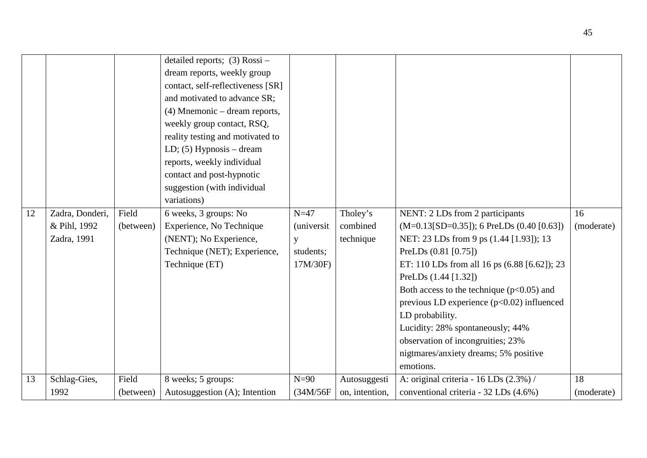|    |                 |           | detailed reports; $(3)$ Rossi –<br>dream reports, weekly group<br>contact, self-reflectiveness [SR]<br>and motivated to advance SR;<br>$(4)$ Mnemonic – dream reports,<br>weekly group contact, RSQ,<br>reality testing and motivated to<br>LD; $(5)$ Hypnosis – dream<br>reports, weekly individual<br>contact and post-hypnotic<br>suggestion (with individual<br>variations) |            |                |                                              |            |
|----|-----------------|-----------|---------------------------------------------------------------------------------------------------------------------------------------------------------------------------------------------------------------------------------------------------------------------------------------------------------------------------------------------------------------------------------|------------|----------------|----------------------------------------------|------------|
| 12 | Zadra, Donderi, | Field     | 6 weeks, 3 groups: No                                                                                                                                                                                                                                                                                                                                                           | $N=47$     | Tholey's       | NENT: 2 LDs from 2 participants              | 16         |
|    | & Pihl, 1992    | (between) | Experience, No Technique                                                                                                                                                                                                                                                                                                                                                        | (universit | combined       | $(M=0.13[SD=0.35])$ ; 6 PreLDs (0.40 [0.63]) | (moderate) |
|    | Zadra, 1991     |           | (NENT); No Experience,                                                                                                                                                                                                                                                                                                                                                          | y          | technique      | NET: 23 LDs from 9 ps (1.44 [1.93]); 13      |            |
|    |                 |           | Technique (NET); Experience,                                                                                                                                                                                                                                                                                                                                                    | students;  |                | PreLDs (0.81 [0.75])                         |            |
|    |                 |           | Technique (ET)                                                                                                                                                                                                                                                                                                                                                                  | 17M/30F)   |                | ET: 110 LDs from all 16 ps (6.88 [6.62]); 23 |            |
|    |                 |           |                                                                                                                                                                                                                                                                                                                                                                                 |            |                | PreLDs (1.44 [1.32])                         |            |
|    |                 |           |                                                                                                                                                                                                                                                                                                                                                                                 |            |                | Both access to the technique $(p<0.05)$ and  |            |
|    |                 |           |                                                                                                                                                                                                                                                                                                                                                                                 |            |                | previous LD experience $(p<0.02)$ influenced |            |
|    |                 |           |                                                                                                                                                                                                                                                                                                                                                                                 |            |                | LD probability.                              |            |
|    |                 |           |                                                                                                                                                                                                                                                                                                                                                                                 |            |                | Lucidity: 28% spontaneously; 44%             |            |
|    |                 |           |                                                                                                                                                                                                                                                                                                                                                                                 |            |                | observation of incongruities; 23%            |            |
|    |                 |           |                                                                                                                                                                                                                                                                                                                                                                                 |            |                | nigtmares/anxiety dreams; 5% positive        |            |
|    |                 |           |                                                                                                                                                                                                                                                                                                                                                                                 |            |                | emotions.                                    |            |
| 13 | Schlag-Gies,    | Field     | 8 weeks; 5 groups:                                                                                                                                                                                                                                                                                                                                                              | $N=90$     | Autosuggesti   | A: original criteria - $16$ LDs $(2.3\%)$ /  | 18         |
|    | 1992            | (between) | Autosuggestion (A); Intention                                                                                                                                                                                                                                                                                                                                                   | (34M/56F   | on, intention, | conventional criteria - 32 LDs (4.6%)        | (moderate) |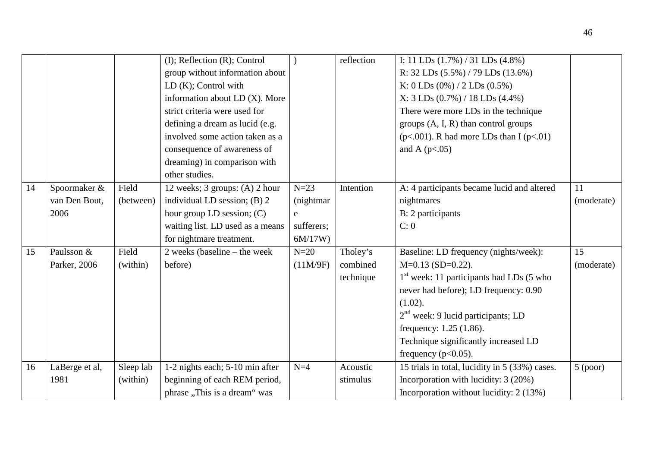|    |                |           | $(I)$ ; Reflection $(R)$ ; Control |            | reflection | I: 11 LDs $(1.7\%)$ / 31 LDs $(4.8\%)$          |            |
|----|----------------|-----------|------------------------------------|------------|------------|-------------------------------------------------|------------|
|    |                |           | group without information about    |            |            | R: $32$ LDs $(5.5\%)$ / 79 LDs $(13.6\%)$       |            |
|    |                |           | LD $(K)$ ; Control with            |            |            | K: 0 LDs $(0\%) / 2$ LDs $(0.5\%)$              |            |
|    |                |           | information about LD (X). More     |            |            | X: 3 LDs (0.7%) / 18 LDs (4.4%)                 |            |
|    |                |           | strict criteria were used for      |            |            | There were more LDs in the technique            |            |
|    |                |           | defining a dream as lucid (e.g.    |            |            | groups $(A, I, R)$ than control groups          |            |
|    |                |           | involved some action taken as a    |            |            | ( $p<.001$ ). R had more LDs than I ( $p<.01$ ) |            |
|    |                |           | consequence of awareness of        |            |            | and A $(p<.05)$                                 |            |
|    |                |           | dreaming) in comparison with       |            |            |                                                 |            |
|    |                |           | other studies.                     |            |            |                                                 |            |
| 14 | Spoormaker &   | Field     | 12 weeks; 3 groups: (A) 2 hour     | $N=23$     | Intention  | A: 4 participants became lucid and altered      | 11         |
|    | van Den Bout,  | (between) | individual LD session; (B) 2       | (nightmar) |            | nightmares                                      | (moderate) |
|    | 2006           |           | hour group LD session; $(C)$       | e          |            | B: 2 participants                               |            |
|    |                |           | waiting list. LD used as a means   | sufferers; |            | C: 0                                            |            |
|    |                |           | for nightmare treatment.           | 6M/17W     |            |                                                 |            |
| 15 | Paulsson &     | Field     | $2$ weeks (baseline – the week     | $N=20$     | Tholey's   | Baseline: LD frequency (nights/week):           | 15         |
|    | Parker, 2006   | (within)  | before)                            | (11M/9F)   | combined   | $M=0.13$ (SD=0.22).                             | (moderate) |
|    |                |           |                                    |            | technique  | $1st$ week: 11 participants had LDs (5 who      |            |
|    |                |           |                                    |            |            | never had before); LD frequency: 0.90           |            |
|    |                |           |                                    |            |            | $(1.02)$ .                                      |            |
|    |                |           |                                    |            |            | $2nd$ week: 9 lucid participants; LD            |            |
|    |                |           |                                    |            |            | frequency: $1.25$ (1.86).                       |            |
|    |                |           |                                    |            |            | Technique significantly increased LD            |            |
|    |                |           |                                    |            |            | frequency ( $p<0.05$ ).                         |            |
| 16 | LaBerge et al, | Sleep lab | 1-2 nights each; 5-10 min after    | $N=4$      | Acoustic   | 15 trials in total, lucidity in 5 (33%) cases.  | $5$ (poor) |
|    | 1981           | (within)  | beginning of each REM period,      |            | stimulus   | Incorporation with lucidity: 3 (20%)            |            |
|    |                |           | phrase "This is a dream" was       |            |            | Incorporation without lucidity: 2 (13%)         |            |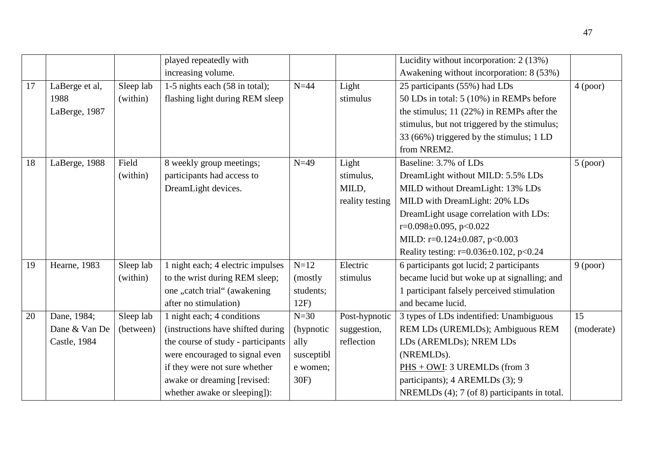|    |                |           | played repeatedly with             |            |                 | Lucidity without incorporation: 2 (13%)       |                 |
|----|----------------|-----------|------------------------------------|------------|-----------------|-----------------------------------------------|-----------------|
|    |                |           | increasing volume.                 |            |                 | Awakening without incorporation: 8 (53%)      |                 |
| 17 | LaBerge et al, | Sleep lab | 1-5 nights each (58 in total);     | $N=44$     | Light           | 25 participants (55%) had LDs                 | 4 (poor)        |
|    | 1988           | (within)  | flashing light during REM sleep    |            | stimulus        | 50 LDs in total: 5 (10%) in REMPs before      |                 |
|    | LaBerge, 1987  |           |                                    |            |                 | the stimulus; $11 (22%)$ in REMPs after the   |                 |
|    |                |           |                                    |            |                 | stimulus, but not triggered by the stimulus;  |                 |
|    |                |           |                                    |            |                 | 33 (66%) triggered by the stimulus; 1 LD      |                 |
|    |                |           |                                    |            |                 | from NREM2.                                   |                 |
| 18 | LaBerge, 1988  | Field     | 8 weekly group meetings;           | $N=49$     | Light           | Baseline: 3.7% of LDs                         | $5$ (poor)      |
|    |                | (within)  | participants had access to         |            | stimulus,       | DreamLight without MILD: 5.5% LDs             |                 |
|    |                |           | DreamLight devices.                |            | MILD,           | MILD without DreamLight: 13% LDs              |                 |
|    |                |           |                                    |            | reality testing | MILD with DreamLight: 20% LDs                 |                 |
|    |                |           |                                    |            |                 | DreamLight usage correlation with LDs:        |                 |
|    |                |           |                                    |            |                 | $r=0.098\pm0.095$ , p<0.022                   |                 |
|    |                |           |                                    |            |                 | MILD: $r=0.124\pm0.087$ , $p<0.003$           |                 |
|    |                |           |                                    |            |                 | Reality testing: $r=0.036\pm0.102$ , $p<0.24$ |                 |
| 19 | Hearne, 1983   | Sleep lab | 1 night each; 4 electric impulses  | $N=12$     | Electric        | 6 participants got lucid; 2 participants      | 9 (poor)        |
|    |                | (within)  | to the wrist during REM sleep;     | (mostly)   | stimulus        | became lucid but woke up at signalling; and   |                 |
|    |                |           | one "catch trial" (awakening       | students;  |                 | 1 participant falsely perceived stimulation   |                 |
|    |                |           | after no stimulation)              | 12F        |                 | and became lucid.                             |                 |
| 20 | Dane, 1984;    | Sleep lab | 1 night each; 4 conditions         | $N=30$     | Post-hypnotic   | 3 types of LDs indentified: Unambiguous       | $\overline{15}$ |
|    | Dane & Van De  | (between) | (instructions have shifted during) | (hypnotic  | suggestion,     | REM LDs (UREMLDs); Ambiguous REM              | (moderate)      |
|    | Castle, 1984   |           | the course of study - participants | ally       | reflection      | LDs (AREMLDs); NREM LDs                       |                 |
|    |                |           | were encouraged to signal even     | susceptibl |                 | (NREMLDs).                                    |                 |
|    |                |           | if they were not sure whether      | e women;   |                 | PHS + OWI: 3 UREMLDs (from 3                  |                 |
|    |                |           | awake or dreaming [revised:        | 30F)       |                 | participants); 4 AREMLDs (3); 9               |                 |
|    |                |           | whether awake or sleeping]):       |            |                 | NREMLDs (4); 7 (of 8) participants in total.  |                 |

47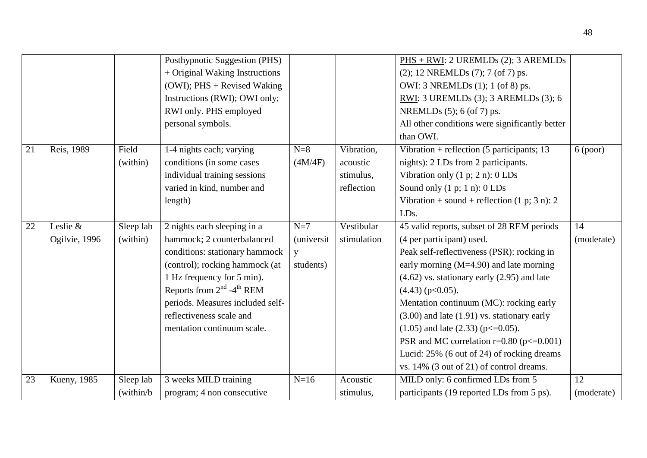|    |               |            | Posthypnotic Suggestion (PHS)              |                    |             | PHS + RWI: 2 UREMLDs (2); 3 AREMLDs              |            |
|----|---------------|------------|--------------------------------------------|--------------------|-------------|--------------------------------------------------|------------|
|    |               |            | + Original Waking Instructions             |                    |             | (2); 12 NREMLDs (7); 7 (of 7) ps.                |            |
|    |               |            | $(OWI)$ ; PHS + Revised Waking             |                    |             | OWI: 3 NREMLDs (1); 1 (of 8) ps.                 |            |
|    |               |            | Instructions (RWI); OWI only;              |                    |             | RWI: 3 UREMLDs (3); 3 AREMLDs (3); 6             |            |
|    |               |            | RWI only. PHS employed                     |                    |             | NREMLDs (5); 6 (of 7) ps.                        |            |
|    |               |            | personal symbols.                          |                    |             | All other conditions were significantly better   |            |
|    |               |            |                                            |                    |             | than OWI.                                        |            |
| 21 | Reis, 1989    | Field      | 1-4 nights each; varying                   | $N=8$              | Vibration,  | Vibration + reflection (5 participants; 13       | 6 (poor)   |
|    |               | (within)   | conditions (in some cases                  | (4M/4F)            | acoustic    | nights): 2 LDs from 2 participants.              |            |
|    |               |            | individual training sessions               |                    | stimulus,   | Vibration only $(1 p; 2 n)$ : 0 LDs              |            |
|    |               |            | varied in kind, number and                 |                    | reflection  | Sound only $(1 p; 1 n)$ : $0 LDs$                |            |
|    |               |            | length)                                    |                    |             | Vibration + sound + reflection $(1 p; 3 n)$ : 2  |            |
|    |               |            |                                            |                    |             | LDs.                                             |            |
| 22 | Leslie &      | Sleep lab  | 2 nights each sleeping in a                | $N=7$              | Vestibular  | 45 valid reports, subset of 28 REM periods       | 14         |
|    | Ogilvie, 1996 | (within)   | hammock; 2 counterbalanced                 | <i>(universit)</i> | stimulation | (4 per participant) used.                        | (moderate) |
|    |               |            | conditions: stationary hammock             | V                  |             | Peak self-reflectiveness (PSR): rocking in       |            |
|    |               |            | (control); rocking hammock (at             | students)          |             | early morning $(M=4.90)$ and late morning        |            |
|    |               |            | 1 Hz frequency for 5 min).                 |                    |             | $(4.62)$ vs. stationary early $(2.95)$ and late  |            |
|    |               |            | Reports from $2^{nd}$ -4 <sup>th</sup> REM |                    |             | $(4.43)$ (p<0.05).                               |            |
|    |               |            | periods. Measures included self-           |                    |             | Mentation continuum (MC): rocking early          |            |
|    |               |            | reflectiveness scale and                   |                    |             | $(3.00)$ and late $(1.91)$ vs. stationary early  |            |
|    |               |            | mentation continuum scale.                 |                    |             | $(1.05)$ and late $(2.33)$ (p $\leq$ =0.05).     |            |
|    |               |            |                                            |                    |             | PSR and MC correlation $r=0.80$ ( $p\leq0.001$ ) |            |
|    |               |            |                                            |                    |             | Lucid: 25% (6 out of 24) of rocking dreams       |            |
|    |               |            |                                            |                    |             | vs. 14% (3 out of 21) of control dreams.         |            |
| 23 | Kueny, 1985   | Sleep lab  | 3 weeks MILD training                      | $N=16$             | Acoustic    | MILD only: 6 confirmed LDs from 5                | 12         |
|    |               | (within/b) | program; 4 non consecutive                 |                    | stimulus,   | participants (19 reported LDs from 5 ps).        | (moderate) |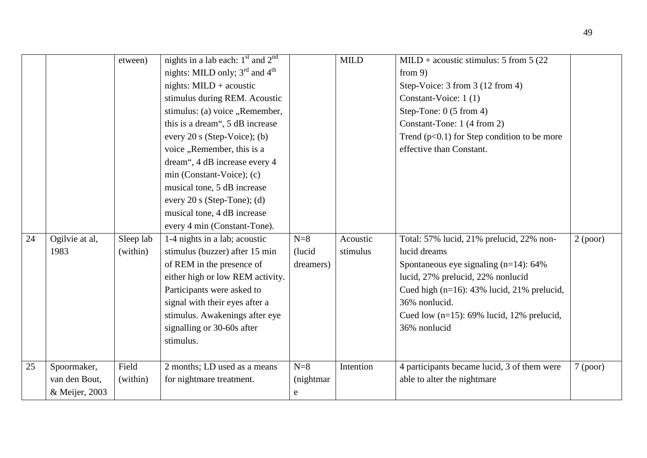|    |                                                | etween)               | nights in a lab each: $1st$ and $2nd$<br>nights: MILD only; $3rd$ and $4th$<br>nights: $MILD + acoustic$<br>stimulus during REM. Acoustic<br>stimulus: (a) voice "Remember,<br>this is a dream", 5 dB increase<br>every 20 s (Step-Voice); (b)<br>voice, Remember, this is a  |                                 | <b>MILD</b>          | MILD + acoustic stimulus: 5 from 5 (22)<br>from $9$ )<br>Step-Voice: 3 from 3 (12 from 4)<br>Constant-Voice: 1(1)<br>Step-Tone: $0(5 from 4)$<br>Constant-Tone: 1 (4 from 2)<br>Trend $(p<0.1)$ for Step condition to be more<br>effective than Constant.                   |          |
|----|------------------------------------------------|-----------------------|-------------------------------------------------------------------------------------------------------------------------------------------------------------------------------------------------------------------------------------------------------------------------------|---------------------------------|----------------------|-----------------------------------------------------------------------------------------------------------------------------------------------------------------------------------------------------------------------------------------------------------------------------|----------|
|    |                                                |                       | dream", 4 dB increase every 4<br>min (Constant-Voice); (c)<br>musical tone, 5 dB increase<br>every 20 s (Step-Tone); (d)<br>musical tone, 4 dB increase<br>every 4 min (Constant-Tone).                                                                                       |                                 |                      |                                                                                                                                                                                                                                                                             |          |
| 24 | Ogilvie at al,<br>1983                         | Sleep lab<br>(within) | 1-4 nights in a lab; acoustic<br>stimulus (buzzer) after 15 min<br>of REM in the presence of<br>either high or low REM activity.<br>Participants were asked to<br>signal with their eyes after a<br>stimulus. Awakenings after eye<br>signalling or 30-60s after<br>stimulus. | $N=8$<br>(lucid<br>dreamers)    | Acoustic<br>stimulus | Total: 57% lucid, 21% prelucid, 22% non-<br>lucid dreams<br>Spontaneous eye signaling $(n=14)$ : 64%<br>lucid, 27% prelucid, 22% nonlucid<br>Cued high $(n=16)$ : 43% lucid, 21% prelucid,<br>36% nonlucid.<br>Cued low $(n=15)$ : 69% lucid, 12% prelucid,<br>36% nonlucid | 2 (poor) |
| 25 | Spoormaker,<br>van den Bout,<br>& Meijer, 2003 | Field<br>(within)     | 2 months; LD used as a means<br>for nightmare treatment.                                                                                                                                                                                                                      | $N=8$<br>(nightmar<br>${\rm e}$ | Intention            | 4 participants became lucid, 3 of them were<br>able to alter the nightmare                                                                                                                                                                                                  | 7 (poor) |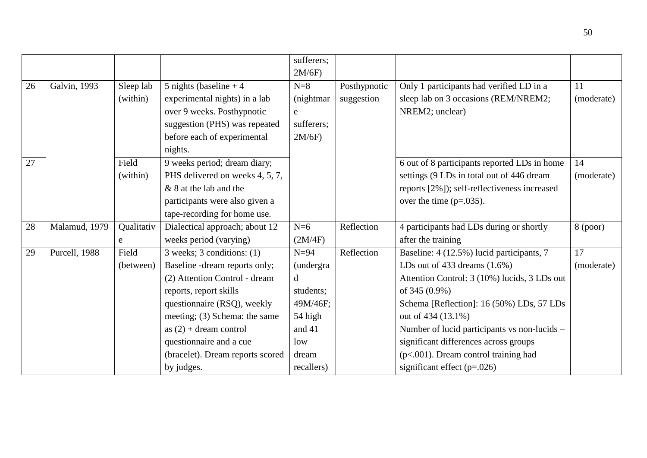|    |               |            |                                  | sufferers;        |              |                                              |            |
|----|---------------|------------|----------------------------------|-------------------|--------------|----------------------------------------------|------------|
|    |               |            |                                  | 2M/6F             |              |                                              |            |
| 26 | Galvin, 1993  | Sleep lab  | 5 nights (baseline $+4$          | $N=8$             | Posthypnotic | Only 1 participants had verified LD in a     | 11         |
|    |               | (within)   | experimental nights) in a lab    | (nightmar)        | suggestion   | sleep lab on 3 occasions (REM/NREM2;         | (moderate) |
|    |               |            | over 9 weeks. Posthypnotic       | ${\rm e}$         |              | NREM2; unclear)                              |            |
|    |               |            | suggestion (PHS) was repeated    | sufferers;        |              |                                              |            |
|    |               |            | before each of experimental      | 2M/6F             |              |                                              |            |
|    |               |            | nights.                          |                   |              |                                              |            |
| 27 |               | Field      | 9 weeks period; dream diary;     |                   |              | 6 out of 8 participants reported LDs in home | 14         |
|    |               | (within)   | PHS delivered on weeks 4, 5, 7,  |                   |              | settings (9 LDs in total out of 446 dream    | (moderate) |
|    |               |            | & 8 at the lab and the           |                   |              | reports [2%]); self-reflectiveness increased |            |
|    |               |            | participants were also given a   |                   |              | over the time $(p=.035)$ .                   |            |
|    |               |            | tape-recording for home use.     |                   |              |                                              |            |
| 28 | Malamud, 1979 | Qualitativ | Dialectical approach; about 12   | $N=6$             | Reflection   | 4 participants had LDs during or shortly     | $8$ (poor) |
|    |               | e          | weeks period (varying)           | (2M/4F)           |              | after the training                           |            |
| 29 | Purcell, 1988 | Field      | $3$ weeks; $3$ conditions: $(1)$ | $N=94$            | Reflection   | Baseline: 4 (12.5%) lucid participants, 7    | 17         |
|    |               | (between)  | Baseline -dream reports only;    | <i>(undergra)</i> |              | LDs out of 433 dreams $(1.6\%)$              | (moderate) |
|    |               |            | (2) Attention Control - dream    | d                 |              | Attention Control: 3 (10%) lucids, 3 LDs out |            |
|    |               |            | reports, report skills           | students;         |              | of 345 (0.9%)                                |            |
|    |               |            | questionnaire (RSQ), weekly      | 49M/46F;          |              | Schema [Reflection]: 16 (50%) LDs, 57 LDs    |            |
|    |               |            | meeting; (3) Schema: the same    | 54 high           |              | out of 434 (13.1%)                           |            |
|    |               |            | as $(2)$ + dream control         | and 41            |              | Number of lucid participants vs non-lucids – |            |
|    |               |            | questionnaire and a cue          | low               |              | significant differences across groups        |            |
|    |               |            | (bracelet). Dream reports scored | dream             |              | $(p<.001)$ . Dream control training had      |            |
|    |               |            | by judges.                       | recallers)        |              | significant effect $(p=.026)$                |            |

50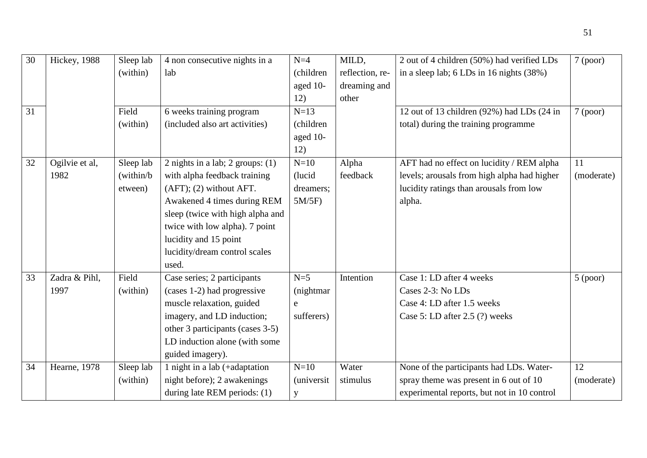| $\overline{30}$ | Hickey, 1988   | Sleep lab  | 4 non consecutive nights in a      | $N=4$              | MILD,           | 2 out of 4 children (50%) had verified LDs   | 7 (poor)   |
|-----------------|----------------|------------|------------------------------------|--------------------|-----------------|----------------------------------------------|------------|
|                 |                | (within)   | lab                                | (children          | reflection, re- | in a sleep lab; $6$ LDs in 16 nights $(38%)$ |            |
|                 |                |            |                                    | aged 10-           | dreaming and    |                                              |            |
|                 |                |            |                                    | 12)                | other           |                                              |            |
| 31              |                | Field      | 6 weeks training program           | $N=13$             |                 | 12 out of 13 children (92%) had LDs (24 in   | 7 (poor)   |
|                 |                | (within)   | (included also art activities)     | (children          |                 | total) during the training programme         |            |
|                 |                |            |                                    | aged 10-           |                 |                                              |            |
|                 |                |            |                                    | 12)                |                 |                                              |            |
| 32              | Ogilvie et al, | Sleep lab  | 2 nights in a lab; 2 groups: $(1)$ | $N=10$             | Alpha           | AFT had no effect on lucidity / REM alpha    | 11         |
|                 | 1982           | (within/b) | with alpha feedback training       | (lucid             | feedback        | levels; arousals from high alpha had higher  | (moderate) |
|                 |                | etween)    | $(AFT)$ ; (2) without AFT.         | dreamers;          |                 | lucidity ratings than arousals from low      |            |
|                 |                |            | Awakened 4 times during REM        | $5M/5F$ )          |                 | alpha.                                       |            |
|                 |                |            | sleep (twice with high alpha and   |                    |                 |                                              |            |
|                 |                |            | twice with low alpha). 7 point     |                    |                 |                                              |            |
|                 |                |            | lucidity and 15 point              |                    |                 |                                              |            |
|                 |                |            | lucidity/dream control scales      |                    |                 |                                              |            |
|                 |                |            | used.                              |                    |                 |                                              |            |
| 33              | Zadra & Pihl,  | Field      | Case series; 2 participants        | $N=5$              | Intention       | Case 1: LD after 4 weeks                     | $5$ (poor) |
|                 | 1997           | (within)   | (cases 1-2) had progressive        | (nightmar          |                 | Cases 2-3: No LDs                            |            |
|                 |                |            | muscle relaxation, guided          | $\mathbf e$        |                 | Case 4: LD after 1.5 weeks                   |            |
|                 |                |            | imagery, and LD induction;         | sufferers)         |                 | Case 5: LD after $2.5$ (?) weeks             |            |
|                 |                |            | other 3 participants (cases 3-5)   |                    |                 |                                              |            |
|                 |                |            | LD induction alone (with some      |                    |                 |                                              |            |
|                 |                |            | guided imagery).                   |                    |                 |                                              |            |
| 34              | Hearne, 1978   | Sleep lab  | 1 night in a lab $(+adaptation$    | $N=10$             | Water           | None of the participants had LDs. Water-     | 12         |
|                 |                | (within)   | night before); 2 awakenings        | <i>(universit)</i> | stimulus        | spray theme was present in 6 out of 10       | (moderate) |
|                 |                |            | during late REM periods: (1)       | y                  |                 | experimental reports, but not in 10 control  |            |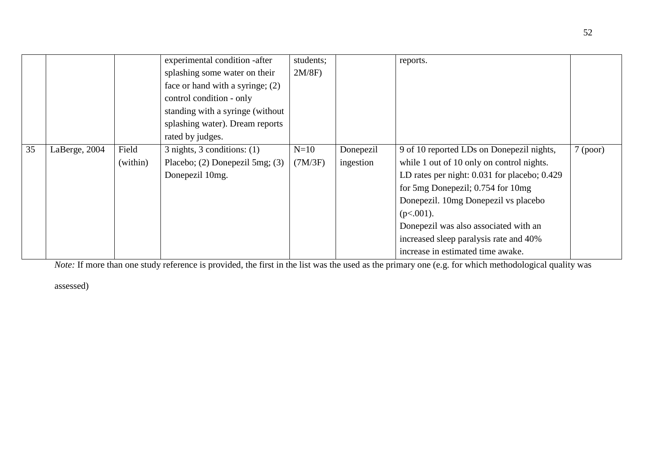|    |               |          | experimental condition -after       | students; |           | reports.                                         |          |
|----|---------------|----------|-------------------------------------|-----------|-----------|--------------------------------------------------|----------|
|    |               |          | splashing some water on their       | $2M/8F$ ) |           |                                                  |          |
|    |               |          | face or hand with a syringe; $(2)$  |           |           |                                                  |          |
|    |               |          | control condition - only            |           |           |                                                  |          |
|    |               |          | standing with a syringe (without    |           |           |                                                  |          |
|    |               |          | splashing water). Dream reports     |           |           |                                                  |          |
|    |               |          | rated by judges.                    |           |           |                                                  |          |
| 35 | LaBerge, 2004 | Field    | $3$ nights, $3$ conditions: $(1)$   | $N=10$    | Donepezil | 9 of 10 reported LDs on Donepezil nights,        | 7 (poor) |
|    |               | (within) | Placebo; $(2)$ Donepezil 5mg; $(3)$ | (7M/3F)   | ingestion | while 1 out of 10 only on control nights.        |          |
|    |               |          | Donepezil 10mg.                     |           |           | LD rates per night: $0.031$ for placebo; $0.429$ |          |
|    |               |          |                                     |           |           | for 5mg Donepezil; 0.754 for 10mg                |          |
|    |               |          |                                     |           |           | Donepezil. 10mg Donepezil vs placebo             |          |
|    |               |          |                                     |           |           | $(p<.001)$ .                                     |          |
|    |               |          |                                     |           |           | Donepezil was also associated with an            |          |
|    |               |          |                                     |           |           | increased sleep paralysis rate and 40%           |          |
|    |               |          |                                     |           |           | increase in estimated time awake.                |          |

*Note:* If more than one study reference is provided, the first in the list was the used as the primary one (e.g. for which methodological quality was

assessed)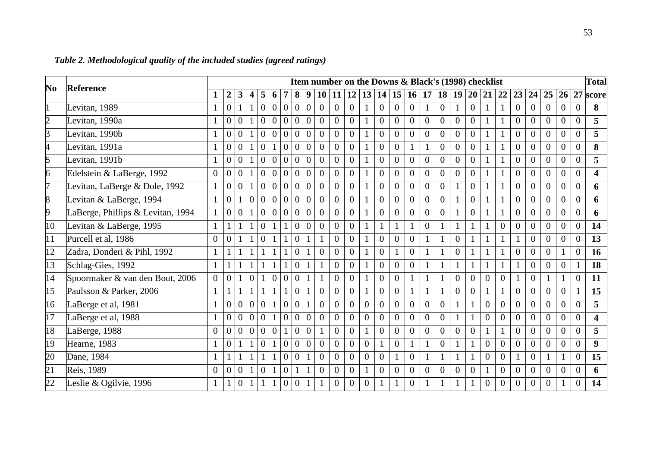| Item number on the Downs & Black's (1998) checklist<br>N <sub>0</sub><br>Reference |                                   |                |                  |                  |                         |                |                |                  |                |                | <b>Total</b>   |                |                |                |                |                |                  |                |                |                |                |                |                |                |                  |                |                |                |                         |
|------------------------------------------------------------------------------------|-----------------------------------|----------------|------------------|------------------|-------------------------|----------------|----------------|------------------|----------------|----------------|----------------|----------------|----------------|----------------|----------------|----------------|------------------|----------------|----------------|----------------|----------------|----------------|----------------|----------------|------------------|----------------|----------------|----------------|-------------------------|
|                                                                                    |                                   |                | $\boldsymbol{2}$ | 3                | $\overline{\mathbf{4}}$ | 5              | 6              |                  | 8              | 9              | 10             | 11             | 12             | 13             | 14             | 15             | 16               | 17             | 18             | 19             | <b>20</b>      | 21             | 22             | 23             | 24               | 25             | 26             | 27             | score                   |
|                                                                                    | Levitan, 1989                     |                | $\overline{0}$   |                  |                         | $\overline{0}$ | $\overline{0}$ | $\overline{0}$   | $\overline{0}$ | $\overline{0}$ | $\overline{0}$ | $\overline{0}$ | $\overline{0}$ |                | $\overline{0}$ | $\overline{0}$ | $\overline{0}$   |                | $\overline{0}$ |                | $\overline{0}$ |                |                | $\overline{0}$ | $\overline{0}$   | $\overline{0}$ | $\theta$       | $\overline{0}$ | 8                       |
| $\overline{2}$                                                                     | Levitan, $1990a$                  |                | $\overline{0}$   | $\overline{0}$   | $\mathbf{1}$            | $\overline{0}$ | $\overline{0}$ | $\overline{0}$   | $\overline{0}$ | $\overline{0}$ | $\theta$       | $\mathbf{0}$   | $\theta$       |                | $\overline{0}$ | $\theta$       | $\overline{0}$   | $\overline{0}$ | $\overline{0}$ | $\overline{0}$ | $\overline{0}$ |                |                | $\Omega$       | $\Omega$         | $\overline{0}$ | $\Omega$       | $\overline{0}$ | 5                       |
| 3                                                                                  | Levitan, 1990b                    |                | $\overline{0}$   | $\theta$         | $\mathbf{1}$            | $\overline{0}$ | $\overline{0}$ | $\overline{0}$   | $\overline{0}$ | $\theta$       | $\theta$       | $\overline{0}$ | $\overline{0}$ |                | $\theta$       | $\theta$       | $\Omega$         | $\theta$       | $\Omega$       | $\overline{0}$ | $\overline{0}$ |                |                | $\Omega$       | $\Omega$         | $\Omega$       | $\Omega$       | $\overline{0}$ | 5                       |
|                                                                                    | Levitan, 1991a                    |                | $\overline{0}$   | $\theta$         | $\mathbf{1}$            | $\Omega$       | $\mathbf{1}$   | $\overline{0}$   | $\overline{0}$ | $\overline{0}$ | $\theta$       | $\mathbf{0}$   | $\overline{0}$ |                | $\overline{0}$ | $\overline{0}$ |                  |                | $\overline{0}$ | $\mathbf{0}$   | $\overline{0}$ |                |                | $\overline{0}$ | $\theta$         | $\Omega$       | $\Omega$       | $\overline{0}$ | 8                       |
| 5                                                                                  | Levitan, 1991b                    |                | $\overline{0}$   | $\theta$         |                         | $\overline{0}$ | $\overline{0}$ | $\Omega$         | $\Omega$       | $\Omega$       | $\overline{0}$ | $\theta$       | $\theta$       |                | $\theta$       | $\Omega$       | $\theta$         | $\theta$       | $\Omega$       | $\theta$       | $\overline{0}$ |                |                | $\overline{0}$ | $\Omega$         | $\Omega$       | $\Omega$       | $\overline{0}$ | 5                       |
| 6                                                                                  | Edelstein & LaBerge, 1992         | $\overline{0}$ | $\Omega$         | $\Omega$         |                         | $\Omega$       | $\Omega$       | $\theta$         | $\Omega$       | $\Omega$       | $\theta$       | $\overline{0}$ | $\theta$       |                | $\overline{0}$ | $\Omega$       | $\theta$         | $\overline{0}$ | $\theta$       | $\overline{0}$ | $\overline{0}$ |                |                | $\theta$       | $\Omega$         | $\theta$       | $\Omega$       | $\theta$       | 4                       |
| 7                                                                                  | Levitan, LaBerge & Dole, 1992     |                | $\boldsymbol{0}$ | $\Omega$         | $\mathbf{1}$            | $\Omega$       | $\theta$       | $\theta$         | $\Omega$       | $\theta$       | $\theta$       | $\overline{0}$ | $\overline{0}$ |                | $\Omega$       | $\Omega$       | $\Omega$         | $\Omega$       | $\Omega$       |                | $\overline{0}$ |                |                | $\Omega$       | $\Omega$         | $\Omega$       | $\Omega$       | $\theta$       | 6                       |
| 8                                                                                  | Levitan & LaBerge, 1994           |                | $\overline{0}$   |                  | $\theta$                | $\overline{0}$ | $\overline{0}$ | $\theta$         | $\overline{0}$ | $\theta$       | $\overline{0}$ | $\overline{0}$ | $\theta$       |                | $\theta$       | $\Omega$       | $\theta$         | $\overline{0}$ | $\overline{0}$ |                | $\overline{0}$ |                |                | $\overline{0}$ | $\theta$         | $\overline{0}$ | $\Omega$       | $\overline{0}$ | 6                       |
| 9                                                                                  | LaBerge, Phillips & Levitan, 1994 |                | $\overline{0}$   | $\theta$         | $\mathbf{1}$            | $\overline{0}$ | $\overline{0}$ | $\overline{0}$   | $\overline{0}$ | $\theta$       | $\theta$       | $\overline{0}$ | $\overline{0}$ |                | $\Omega$       | $\Omega$       | $\overline{0}$   | $\theta$       | $\Omega$       |                | $\overline{0}$ |                |                | $\Omega$       | $\Omega$         | $\overline{0}$ | $\Omega$       | $\overline{0}$ | 6                       |
| 10                                                                                 | Levitan & LaBerge, 1995           |                | $\mathbf{1}$     |                  |                         | $\overline{0}$ | 1              |                  | $\mathbf{0}$   | $\overline{0}$ | $\overline{0}$ | $\mathbf{0}$   | $\mathbf{0}$   |                |                |                |                  | $\overline{0}$ |                |                |                |                | $\overline{0}$ | $\theta$       | $\overline{0}$   | $\overline{0}$ | $\overline{0}$ | $\overline{0}$ | 14                      |
| 11                                                                                 | Purcell et al, 1986               | $\Omega$       | $\Omega$         |                  | 1                       | $\Omega$       |                |                  | $\Omega$       |                |                | $\overline{0}$ | $\overline{0}$ |                | $\Omega$       | $\Omega$       | $\Omega$         |                |                | $\overline{0}$ |                |                |                |                | $\Omega$         | $\Omega$       | $\Omega$       | $\overline{0}$ | 13                      |
| $\overline{12}$                                                                    | Zadra, Donderi & Pihl, 1992       |                |                  |                  |                         |                |                |                  | $\overline{0}$ |                | $\overline{0}$ | $\overline{0}$ | $\overline{0}$ |                | $\overline{0}$ |                | $\overline{0}$   |                |                | $\overline{0}$ |                |                |                | $\overline{0}$ | $\overline{0}$   | $\overline{0}$ |                | $\overline{0}$ | 16                      |
| 13                                                                                 | Schlag-Gies, 1992                 |                |                  |                  |                         |                |                |                  | $\Omega$       |                |                | $\theta$       | $\overline{0}$ |                | $\Omega$       | $\Omega$       | $\Omega$         |                |                |                |                |                |                |                | $\Omega$         | $\Omega$       | $\Omega$       |                | 18                      |
| 14                                                                                 | Spoormaker & van den Bout, 2006   | $\overline{0}$ | $\overline{0}$   |                  | $\Omega$                |                | $\Omega$       | $\Omega$         | $\Omega$       |                |                | $\overline{0}$ | $\overline{0}$ |                | $\overline{0}$ | $\theta$       |                  |                |                | $\theta$       | $\theta$       | $\overline{0}$ | $\overline{0}$ |                | $\overline{0}$   |                |                | $\theta$       | 11                      |
| 15                                                                                 | Paulsson & Parker, 2006           |                |                  |                  |                         |                |                |                  | $\Omega$       |                | $\overline{0}$ | $\theta$       | $\overline{0}$ |                | $\Omega$       | $\Omega$       |                  |                |                | $\theta$       | $\Omega$       |                |                | $\Omega$       | $\Omega$         | $\Omega$       | $\Omega$       |                | 15                      |
| 16                                                                                 | LaBerge et al, 1981               |                | $\overline{0}$   | $\overline{0}$   | $\overline{0}$          | $\theta$       | 1              | $\overline{0}$   | $\theta$       |                | $\overline{0}$ | $\overline{0}$ | $\overline{0}$ | $\overline{0}$ | $\Omega$       | $\Omega$       | $\overline{0}$   | $\overline{0}$ | $\overline{0}$ |                |                | $\theta$       | $\theta$       | $\theta$       | $\overline{0}$   | $\overline{0}$ | $\Omega$       | $\overline{0}$ | 5                       |
| 17                                                                                 | LaBerge et al, 1988               |                | $\overline{0}$   | $\mathbf{0}$     | $\overline{0}$          | $\overline{0}$ | $\mathbf{1}$   | $\overline{0}$   | $\overline{0}$ | $\theta$       | $\overline{0}$ | $\overline{0}$ | $\overline{0}$ | $\overline{0}$ | $\overline{0}$ | $\Omega$       | $\overline{0}$   | $\overline{0}$ | $\overline{0}$ |                |                | $\Omega$       | $\theta$       | $\overline{0}$ | $\overline{0}$   | $\overline{0}$ | $\Omega$       | $\overline{0}$ | $\overline{\mathbf{4}}$ |
| 18                                                                                 | LaBerge, 1988                     | $\Omega$       | $\overline{0}$   | $\overline{0}$   | $\overline{0}$          | $\overline{0}$ | $\overline{0}$ | $\mathbf{1}$     | $\overline{0}$ | $\Omega$       |                | $\mathbf{0}$   | $\overline{0}$ |                | $\Omega$       | $\theta$       | $\overline{0}$   | $\overline{0}$ | $\overline{0}$ | $\overline{0}$ | $\overline{0}$ |                |                | $\Omega$       | $\Omega$         | $\overline{0}$ | $\Omega$       | $\overline{0}$ | 5                       |
| 19                                                                                 | Hearne, 1983                      |                | $\overline{0}$   |                  | $\mathbf{1}$            | $\overline{0}$ | $\mathbf{1}$   | $\overline{0}$   | $\overline{0}$ | $\theta$       | $\overline{0}$ | $\mathbf{0}$   | $\overline{0}$ | $\overline{0}$ |                | $\theta$       |                  |                | $\overline{0}$ |                |                | $\theta$       | $\Omega$       | $\Omega$       | $\theta$         | $\Omega$       | $\Omega$       | $\overline{0}$ | $\boldsymbol{9}$        |
| 20                                                                                 | Dane, 1984                        |                |                  |                  |                         |                |                | $\overline{0}$   | $\overline{0}$ |                | $\Omega$       | $\overline{0}$ | $\overline{0}$ | $\overline{0}$ | $\Omega$       |                | $\overline{0}$   |                |                |                |                | $\theta$       | $\overline{0}$ |                | $\overline{0}$   |                |                | $\overline{0}$ | 15                      |
| 21                                                                                 | Reis, 1989                        | $\Omega$       | $\Omega$         | $\Omega$         |                         | $\Omega$       |                | $\Omega$         |                |                | $\Omega$       | $\overline{0}$ | $\overline{0}$ |                | $\Omega$       | $\Omega$       | $\theta$         | $\theta$       | $\Omega$       | $\theta$       | $\overline{0}$ |                | $\overline{0}$ | $\theta$       | $\Omega$         | $\Omega$       | $\Omega$       | $\overline{0}$ | 6                       |
| $\overline{22}$                                                                    | Leslie & Ogilvie, 1996            |                |                  | $\boldsymbol{0}$ |                         |                |                | $\boldsymbol{0}$ | $\theta$       |                |                | $\overline{0}$ | $\overline{0}$ | $\overline{0}$ |                |                | $\boldsymbol{0}$ |                |                |                |                | $\mathbf{0}$   | $\theta$       | $\overline{0}$ | $\boldsymbol{0}$ | $\overline{0}$ |                | $\overline{0}$ | 14                      |

# *Table 2. Methodological quality of the included studies (agreed ratings)*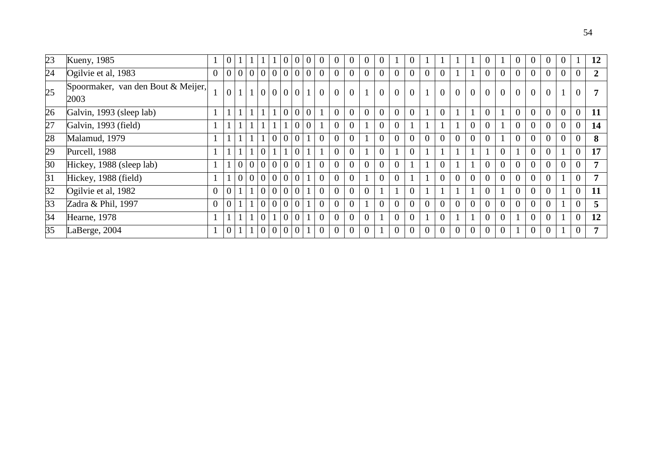| 23 | Kueny, 1985                                |                | $\theta$       |          |                |                |                | O              | v              | O              |                |                |                |                |                |                |                |                |                |                |                |                |                | $\theta$       |                |                | 12             |
|----|--------------------------------------------|----------------|----------------|----------|----------------|----------------|----------------|----------------|----------------|----------------|----------------|----------------|----------------|----------------|----------------|----------------|----------------|----------------|----------------|----------------|----------------|----------------|----------------|----------------|----------------|----------------|----------------|
| 24 | Ogilvie et al, 1983                        | $\overline{0}$ | $\overline{0}$ |          |                |                | 0 0 0          |                | $\overline{0}$ | $\overline{0}$ | $\overline{0}$ | $\overline{0}$ |                | $\overline{0}$ |                | $\overline{0}$ | $\overline{0}$ |                |                | $\overline{0}$ | $\overline{0}$ | $\overline{0}$ | $\overline{0}$ | $\overline{0}$ | $\overline{0}$ | $\overline{0}$ | $\overline{2}$ |
| 25 | Spoormaker, van den Bout & Meijer,<br>2003 |                | $\overline{0}$ | $1\vert$ |                |                | 0 0 0 0        |                |                |                | $\overline{0}$ | $\overline{0}$ | $\overline{0}$ | $\overline{0}$ | $\Omega$       |                | $\overline{0}$ | $\overline{0}$ | $\overline{0}$ | $\overline{0}$ | $\overline{0}$ | $\overline{0}$ | $\overline{0}$ | $\overline{0}$ |                | 0              |                |
| 26 | Galvin, 1993 (sleep lab)                   |                |                |          |                |                |                | $\overline{0}$ | $\overline{0}$ | $\overline{0}$ |                | $\Omega$       |                | $\theta$       | $\Omega$       |                | $\theta$       |                |                |                |                | 0              | $\overline{0}$ | $\overline{0}$ | $\overline{0}$ | $\overline{0}$ | 11             |
| 27 | Galvin, 1993 (field)                       |                |                |          |                |                |                |                | $\overline{0}$ | $\overline{0}$ |                | $\overline{0}$ |                |                |                |                |                |                | $\overline{0}$ | $\overline{0}$ |                | 0              | $\overline{0}$ | $\overline{0}$ | $\overline{0}$ | $\overline{0}$ | 14             |
| 28 | Malamud, 1979                              |                |                |          |                |                | $\overline{0}$ | $\overline{0}$ | $\overline{0}$ |                |                |                |                |                |                |                |                | $\Omega$       | $\Omega$       |                |                |                | $\overline{0}$ | $\overline{0}$ | $\Omega$       | 0              | 8              |
| 29 | Purcell, 1988                              |                |                |          |                | $\Omega$       |                |                | $\overline{0}$ |                |                | $\overline{0}$ |                | $\overline{0}$ |                |                |                |                |                |                |                |                | 0              | $\overline{0}$ |                | $\overline{0}$ | 17             |
| 30 | Hickey, 1988 (sleep lab)                   |                |                | $\Omega$ | $\overline{0}$ | $\theta$       | $\overline{0}$ | $\overline{0}$ | $\overline{0}$ |                |                |                |                |                |                |                |                |                |                | $\theta$       | $\theta$       | $\overline{0}$ | $\overline{0}$ | $\overline{0}$ | $\overline{0}$ | $\overline{0}$ | 7              |
| 31 | Hickey, 1988 (field)                       |                |                | $\theta$ | $\theta$       | $\theta$       | $\overline{0}$ | $\Omega$       | $\overline{0}$ |                |                |                |                |                |                |                |                |                | $\overline{0}$ | $\theta$       |                |                | $\overline{0}$ | 0              |                |                | 7              |
| 32 | Ogilvie et al, 1982                        | $\theta$       | $\overline{0}$ |          |                | $\overline{0}$ | $\overline{0}$ | $\overline{0}$ | $\overline{0}$ |                | $\overline{0}$ |                |                |                |                |                |                |                |                |                |                |                | 0              | $\Omega$       |                | $\theta$       | 11             |
| 33 | Zadra & Phil, 1997                         | $\theta$       | $\theta$       |          |                | $\theta$       | $\overline{0}$ | $\overline{0}$ | $\overline{0}$ |                |                |                |                |                |                | $\overline{0}$ | $\Omega$       | $\overline{0}$ | $\overline{0}$ | $\overline{0}$ | $\overline{0}$ | $\overline{0}$ | $\overline{0}$ | $\overline{0}$ |                |                | 5              |
| 34 | Hearne, 1978                               |                |                |          |                | $\theta$       |                | $\theta$       | $\overline{0}$ |                |                |                |                |                |                |                |                |                |                | 0              |                |                | $\overline{0}$ | 0              |                | $\overline{0}$ | 12             |
| 35 | LaBerge, 2004                              |                | $\overline{0}$ |          |                | $\overline{0}$ | $\overline{0}$ | $\overline{0}$ | $\overline{0}$ |                | $\overline{0}$ |                |                |                | $\overline{0}$ | $\theta$       |                | 0              | $\overline{0}$ | $\overline{0}$ |                |                | $\overline{0}$ | 0              |                |                | 7              |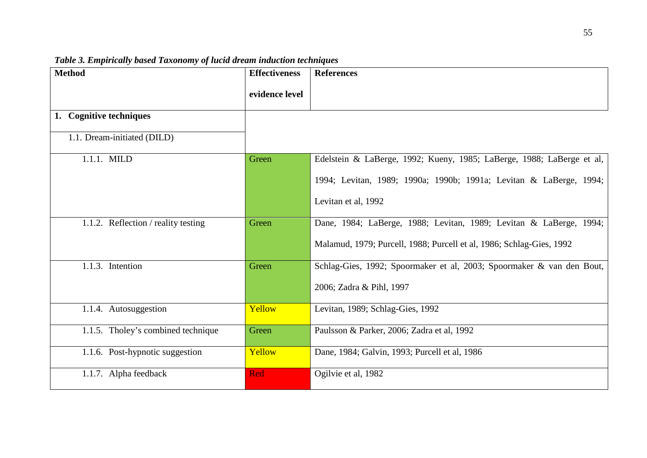| <b>Method</b>                       | <b>Effectiveness</b> | <b>References</b>                                                     |
|-------------------------------------|----------------------|-----------------------------------------------------------------------|
|                                     | evidence level       |                                                                       |
| 1. Cognitive techniques             |                      |                                                                       |
| 1.1. Dream-initiated (DILD)         |                      |                                                                       |
| 1.1.1. MILD                         | Green                | Edelstein & LaBerge, 1992; Kueny, 1985; LaBerge, 1988; LaBerge et al, |
|                                     |                      | 1994; Levitan, 1989; 1990a; 1990b; 1991a; Levitan & LaBerge, 1994;    |
|                                     |                      | Levitan et al, 1992                                                   |
| 1.1.2. Reflection / reality testing | Green                | Dane, 1984; LaBerge, 1988; Levitan, 1989; Levitan & LaBerge, 1994;    |
|                                     |                      | Malamud, 1979; Purcell, 1988; Purcell et al, 1986; Schlag-Gies, 1992  |
| 1.1.3. Intention                    | Green                | Schlag-Gies, 1992; Spoormaker et al, 2003; Spoormaker & van den Bout, |
|                                     |                      | 2006; Zadra & Pihl, 1997                                              |
| 1.1.4. Autosuggestion               | Yellow               | Levitan, 1989; Schlag-Gies, 1992                                      |
| 1.1.5. Tholey's combined technique  | Green                | Paulsson & Parker, 2006; Zadra et al, 1992                            |
| 1.1.6. Post-hypnotic suggestion     | Yellow               | Dane, 1984; Galvin, 1993; Purcell et al, 1986                         |
| 1.1.7. Alpha feedback               | Red                  | Ogilvie et al, 1982                                                   |

*Table 3. Empirically based Taxonomy of lucid dream induction techniques*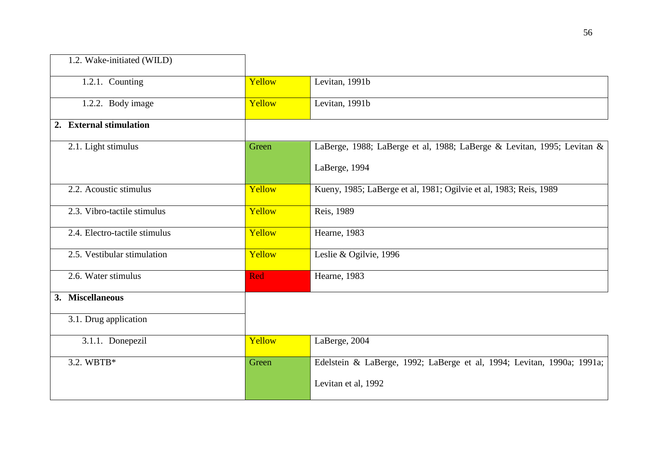| 1.2. Wake-initiated (WILD)    |            |                                                                        |
|-------------------------------|------------|------------------------------------------------------------------------|
| 1.2.1. Counting               | Yellow     | Levitan, 1991b                                                         |
| 1.2.2. Body image             | Yellow     | Levitan, 1991b                                                         |
| 2. External stimulation       |            |                                                                        |
| 2.1. Light stimulus           | Green      | LaBerge, 1988; LaBerge et al, 1988; LaBerge & Levitan, 1995; Levitan & |
|                               |            | LaBerge, 1994                                                          |
| 2.2. Acoustic stimulus        | Yellow     | Kueny, 1985; LaBerge et al, 1981; Ogilvie et al, 1983; Reis, 1989      |
| 2.3. Vibro-tactile stimulus   | Yellow     | Reis, 1989                                                             |
| 2.4. Electro-tactile stimulus | Yellow     | Hearne, 1983                                                           |
| 2.5. Vestibular stimulation   | Yellow     | Leslie & Ogilvie, 1996                                                 |
| 2.6. Water stimulus           | <b>Red</b> | Hearne, 1983                                                           |
| 3. Miscellaneous              |            |                                                                        |
| 3.1. Drug application         |            |                                                                        |
| 3.1.1. Donepezil              | Yellow     | LaBerge, 2004                                                          |
| 3.2. WBTB*                    | Green      | Edelstein & LaBerge, 1992; LaBerge et al, 1994; Levitan, 1990a; 1991a; |
|                               |            | Levitan et al, 1992                                                    |